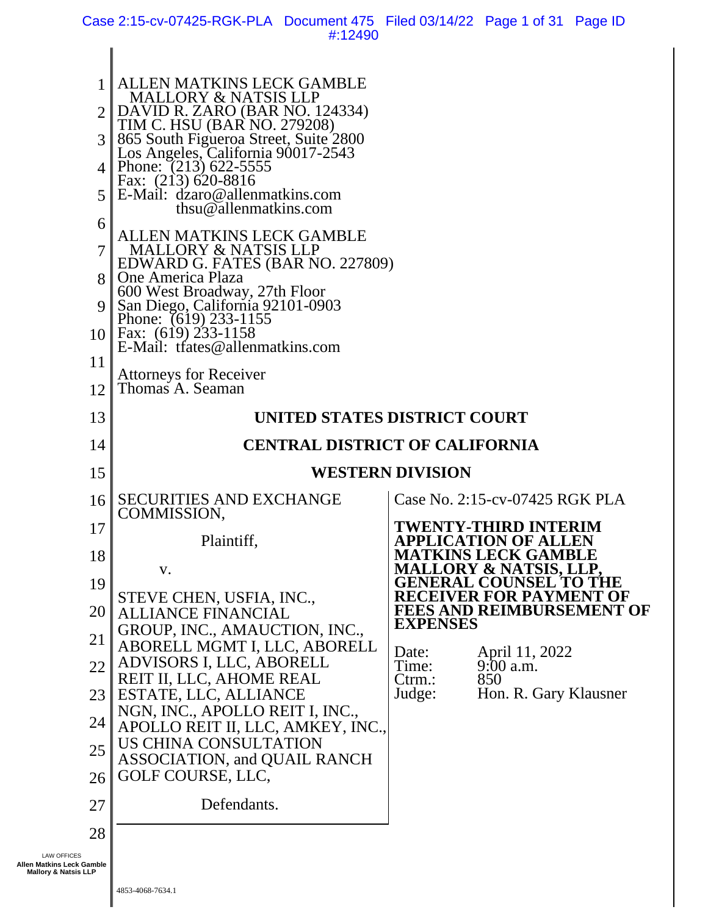Case 2:15-cv-07425-RGK-PLA Document 475 Filed 03/14/22 Page 1 of 31 Page ID #:12490

| 1<br>3<br>$\overline{4}$<br>5 <sup>1</sup><br>6<br>$\tau$                          | <b>ALLEN MATKINS LECK GAMBLE</b><br><b>MALLORY &amp; NATSIS LLP</b><br>DAVID R. ZARO (BAR NO. 124334)<br>TIM C. HSU (BAR NO. 279208)<br>865 South Figueroa Street, Suite 2800<br>Los Angeles, California 90017-2543<br>Phone: (213) 622-5555<br>Fax: $(213)$ 620-8816<br>E-Mail: dzaro@allenmatkins.com<br>thsu@allenmatkins.com<br>ALLEN MATKINS LECK GAMBLE<br><b>MALLORY &amp; NATSIS LLP</b><br>EDWARD G. FATES (BAR NO. 227809) |                                                                 |  |  |  |  |  |  |
|------------------------------------------------------------------------------------|--------------------------------------------------------------------------------------------------------------------------------------------------------------------------------------------------------------------------------------------------------------------------------------------------------------------------------------------------------------------------------------------------------------------------------------|-----------------------------------------------------------------|--|--|--|--|--|--|
| 9<br>10 <sup>  </sup><br>11                                                        | 600 West Broadway, 27th Floor<br>San Diego, California 92101-0903<br>Phone: (619) 233-1155<br>Fax: $(619)$ 233-1158<br>E-Mail: trates@allenmatkins.com<br><b>Attorneys for Receiver</b>                                                                                                                                                                                                                                              |                                                                 |  |  |  |  |  |  |
| 12                                                                                 | Thomas A. Seaman                                                                                                                                                                                                                                                                                                                                                                                                                     |                                                                 |  |  |  |  |  |  |
| 13                                                                                 | UNITED STATES DISTRICT COURT                                                                                                                                                                                                                                                                                                                                                                                                         |                                                                 |  |  |  |  |  |  |
| 14                                                                                 |                                                                                                                                                                                                                                                                                                                                                                                                                                      | <b>CENTRAL DISTRICT OF CALIFORNIA</b>                           |  |  |  |  |  |  |
| 15                                                                                 |                                                                                                                                                                                                                                                                                                                                                                                                                                      | <b>WESTERN DIVISION</b>                                         |  |  |  |  |  |  |
| 16                                                                                 | <b>SECURITIES AND EXCHANGE</b><br>COMMISSION,                                                                                                                                                                                                                                                                                                                                                                                        | Case No. 2:15-cv-07425 RGK PLA                                  |  |  |  |  |  |  |
| 17                                                                                 | Plaintiff,                                                                                                                                                                                                                                                                                                                                                                                                                           | TWENTY-THIRD INTERIM<br><b>CATION OF ALLEN</b>                  |  |  |  |  |  |  |
| 18                                                                                 | V.                                                                                                                                                                                                                                                                                                                                                                                                                                   | <b>MATKINS LECK GAMBLE</b><br><b>MALLORY &amp; NATSIS, LLP,</b> |  |  |  |  |  |  |
| 19                                                                                 | STEVE CHEN, USFIA, INC.,                                                                                                                                                                                                                                                                                                                                                                                                             | <b>GENERAL COUNSEL TO THE</b><br><b>RECEIVER FOR PAYMENT OF</b> |  |  |  |  |  |  |
| 20                                                                                 | <b>ALLIANCE FINANCIAL</b><br>GROUP, INC., AMAUCTION, INC.,                                                                                                                                                                                                                                                                                                                                                                           | <b>FEES AND REIMBURSEMENT OF</b><br><b>EXPENSES</b>             |  |  |  |  |  |  |
| 21<br>22                                                                           | ABORELL MGMT I, LLC, ABORELL<br>ADVISORS I, LLC, ABORELL                                                                                                                                                                                                                                                                                                                                                                             | April 11, 2022<br>Date:<br>$9:00$ a.m.<br>Time:                 |  |  |  |  |  |  |
| 23                                                                                 | REIT II, LLC, AHOME REAL<br>ESTATE, LLC, ALLIANCE                                                                                                                                                                                                                                                                                                                                                                                    | 850<br>$C$ trm.:<br>Hon. R. Gary Klausner<br>Judge:             |  |  |  |  |  |  |
| 24                                                                                 | NGN, INC., APOLLO REIT I, INC.,                                                                                                                                                                                                                                                                                                                                                                                                      |                                                                 |  |  |  |  |  |  |
| 25                                                                                 | APOLLO REIT II, LLC, AMKEY, INC.,<br>US CHINA CONSULTATION                                                                                                                                                                                                                                                                                                                                                                           |                                                                 |  |  |  |  |  |  |
| 26                                                                                 | <b>ASSOCIATION, and QUAIL RANCH</b><br>GOLF COURSE, LLC,                                                                                                                                                                                                                                                                                                                                                                             |                                                                 |  |  |  |  |  |  |
| 27                                                                                 | Defendants.                                                                                                                                                                                                                                                                                                                                                                                                                          |                                                                 |  |  |  |  |  |  |
| 28                                                                                 |                                                                                                                                                                                                                                                                                                                                                                                                                                      |                                                                 |  |  |  |  |  |  |
| <b>LAW OFFICES</b><br>Allen Matkins Leck Gamble<br><b>Mallory &amp; Natsis LLP</b> |                                                                                                                                                                                                                                                                                                                                                                                                                                      |                                                                 |  |  |  |  |  |  |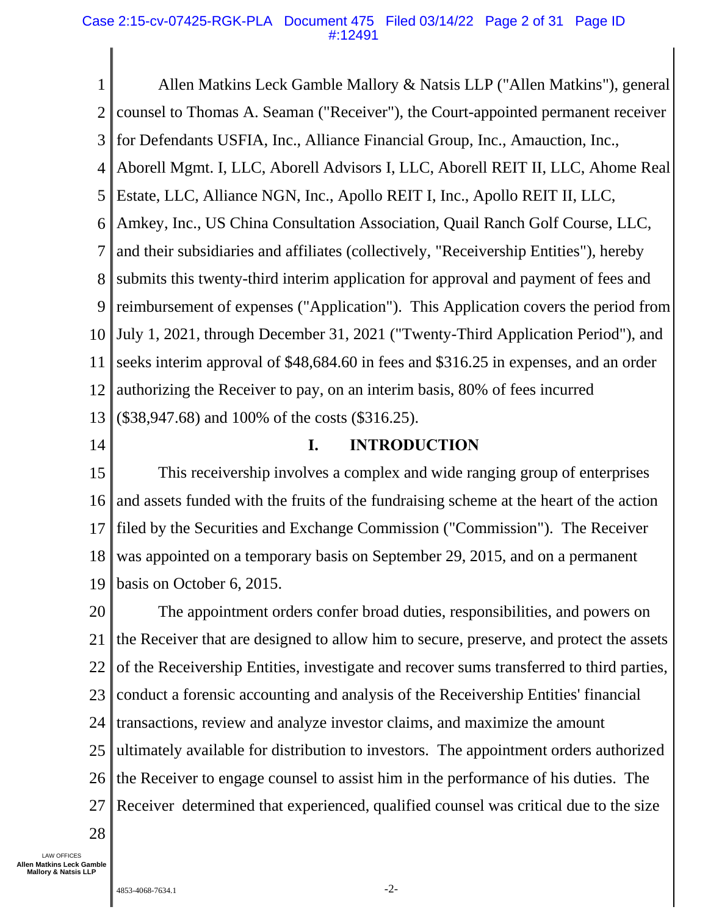#### Case 2:15-cv-07425-RGK-PLA Document 475 Filed 03/14/22 Page 2 of 31 Page ID #:12491

1 2 3 4 5 6 7 8 9 10 11 12 13 Allen Matkins Leck Gamble Mallory & Natsis LLP ("Allen Matkins"), general counsel to Thomas A. Seaman ("Receiver"), the Court-appointed permanent receiver for Defendants USFIA, Inc., Alliance Financial Group, Inc., Amauction, Inc., Aborell Mgmt. I, LLC, Aborell Advisors I, LLC, Aborell REIT II, LLC, Ahome Real Estate, LLC, Alliance NGN, Inc., Apollo REIT I, Inc., Apollo REIT II, LLC, Amkey, Inc., US China Consultation Association, Quail Ranch Golf Course, LLC, and their subsidiaries and affiliates (collectively, "Receivership Entities"), hereby submits this twenty-third interim application for approval and payment of fees and reimbursement of expenses ("Application"). This Application covers the period from July 1, 2021, through December 31, 2021 ("Twenty-Third Application Period"), and seeks interim approval of \$48,684.60 in fees and \$316.25 in expenses, and an order authorizing the Receiver to pay, on an interim basis, 80% of fees incurred (\$38,947.68) and 100% of the costs (\$316.25).

14

# **I. INTRODUCTION**

15 16 17 18 19 This receivership involves a complex and wide ranging group of enterprises and assets funded with the fruits of the fundraising scheme at the heart of the action filed by the Securities and Exchange Commission ("Commission"). The Receiver was appointed on a temporary basis on September 29, 2015, and on a permanent basis on October 6, 2015.

20 21 22 23 24 25 26 27 The appointment orders confer broad duties, responsibilities, and powers on the Receiver that are designed to allow him to secure, preserve, and protect the assets of the Receivership Entities, investigate and recover sums transferred to third parties, conduct a forensic accounting and analysis of the Receivership Entities' financial transactions, review and analyze investor claims, and maximize the amount ultimately available for distribution to investors. The appointment orders authorized the Receiver to engage counsel to assist him in the performance of his duties. The Receiver determined that experienced, qualified counsel was critical due to the size

28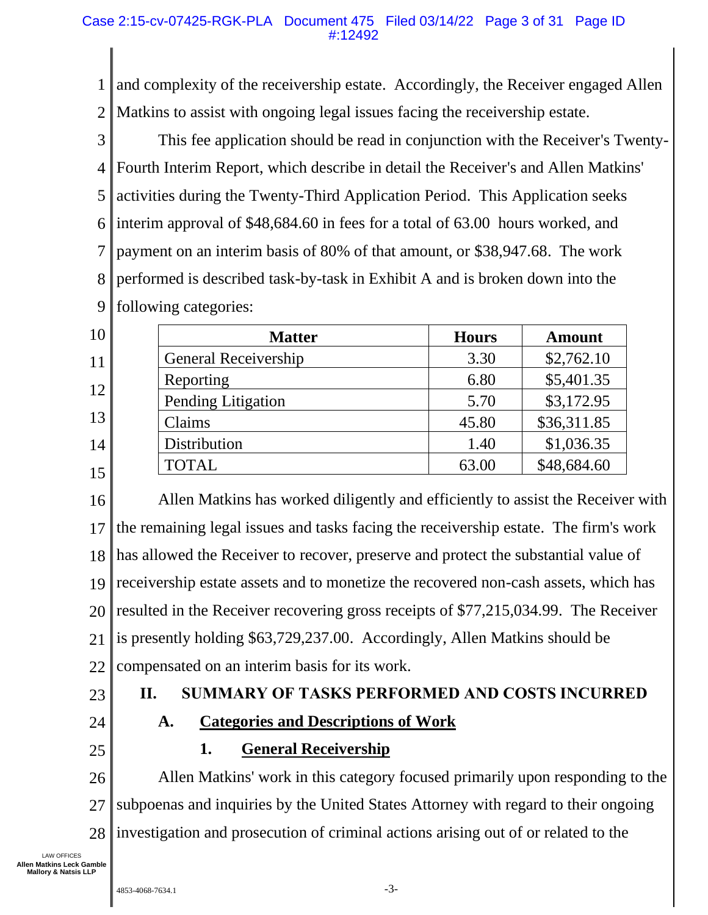1 2 and complexity of the receivership estate. Accordingly, the Receiver engaged Allen Matkins to assist with ongoing legal issues facing the receivership estate.

3 4 5 6 7 8 9 This fee application should be read in conjunction with the Receiver's Twenty-Fourth Interim Report, which describe in detail the Receiver's and Allen Matkins' activities during the Twenty-Third Application Period. This Application seeks interim approval of \$48,684.60 in fees for a total of 63.00 hours worked, and payment on an interim basis of 80% of that amount, or \$38,947.68. The work performed is described task-by-task in Exhibit A and is broken down into the following categories:

| 10 | <b>Matter</b>               | <b>Hours</b> | <b>Amount</b> |
|----|-----------------------------|--------------|---------------|
| 11 | <b>General Receivership</b> | 3.30         | \$2,762.10    |
| 12 | Reporting                   | 6.80         | \$5,401.35    |
|    | Pending Litigation          | 5.70         | \$3,172.95    |
| 13 | Claims                      | 45.80        | \$36,311.85   |
| 14 | Distribution                | 1.40         | \$1,036.35    |
| 15 | <b>TOTAL</b>                | 63.00        | \$48,684.60   |

16 17 18 19 20 21 22 Allen Matkins has worked diligently and efficiently to assist the Receiver with the remaining legal issues and tasks facing the receivership estate. The firm's work has allowed the Receiver to recover, preserve and protect the substantial value of receivership estate assets and to monetize the recovered non-cash assets, which has resulted in the Receiver recovering gross receipts of \$77,215,034.99. The Receiver is presently holding \$63,729,237.00. Accordingly, Allen Matkins should be compensated on an interim basis for its work.

23

# **II. SUMMARY OF TASKS PERFORMED AND COSTS INCURRED**

24

# **A. Categories and Descriptions of Work**

25

# **1. General Receivership**

26 27 28 Allen Matkins' work in this category focused primarily upon responding to the subpoenas and inquiries by the United States Attorney with regard to their ongoing investigation and prosecution of criminal actions arising out of or related to the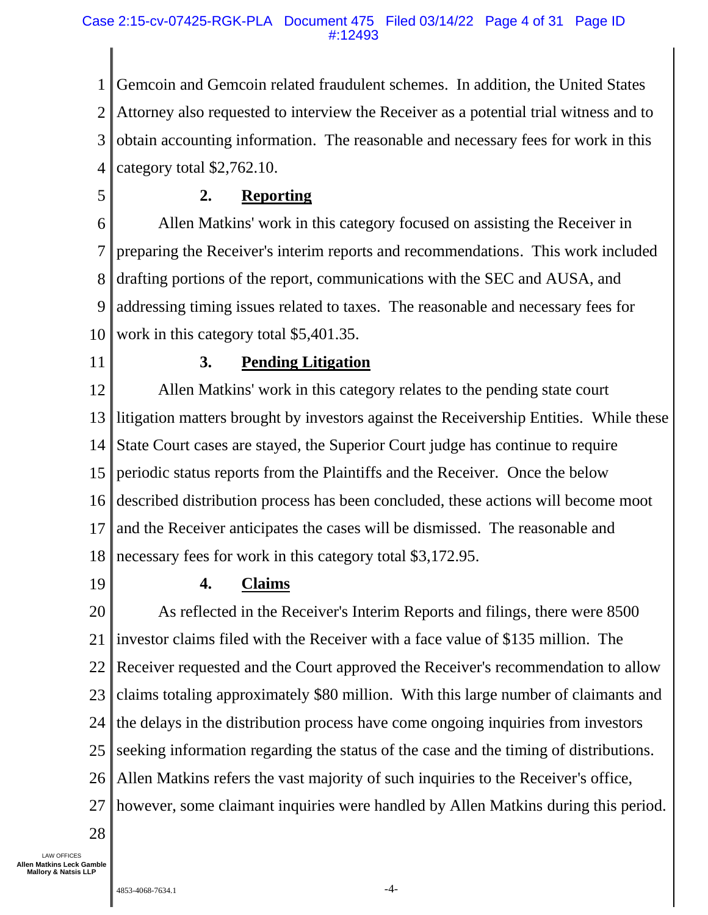#### Case 2:15-cv-07425-RGK-PLA Document 475 Filed 03/14/22 Page 4 of 31 Page ID #:12493

1 2 3 4 Gemcoin and Gemcoin related fraudulent schemes. In addition, the United States Attorney also requested to interview the Receiver as a potential trial witness and to obtain accounting information. The reasonable and necessary fees for work in this category total \$2,762.10.

5

# **2. Reporting**

6 7 8 9 10 Allen Matkins' work in this category focused on assisting the Receiver in preparing the Receiver's interim reports and recommendations. This work included drafting portions of the report, communications with the SEC and AUSA, and addressing timing issues related to taxes. The reasonable and necessary fees for work in this category total \$5,401.35.

11

# **3. Pending Litigation**

12 13 14 15 16 17 18 Allen Matkins' work in this category relates to the pending state court litigation matters brought by investors against the Receivership Entities. While these State Court cases are stayed, the Superior Court judge has continue to require periodic status reports from the Plaintiffs and the Receiver. Once the below described distribution process has been concluded, these actions will become moot and the Receiver anticipates the cases will be dismissed. The reasonable and necessary fees for work in this category total \$3,172.95.

19

# **4. Claims**

20 21 22 23 24 25 26 27 As reflected in the Receiver's Interim Reports and filings, there were 8500 investor claims filed with the Receiver with a face value of \$135 million. The Receiver requested and the Court approved the Receiver's recommendation to allow claims totaling approximately \$80 million. With this large number of claimants and the delays in the distribution process have come ongoing inquiries from investors seeking information regarding the status of the case and the timing of distributions. Allen Matkins refers the vast majority of such inquiries to the Receiver's office, however, some claimant inquiries were handled by Allen Matkins during this period.

28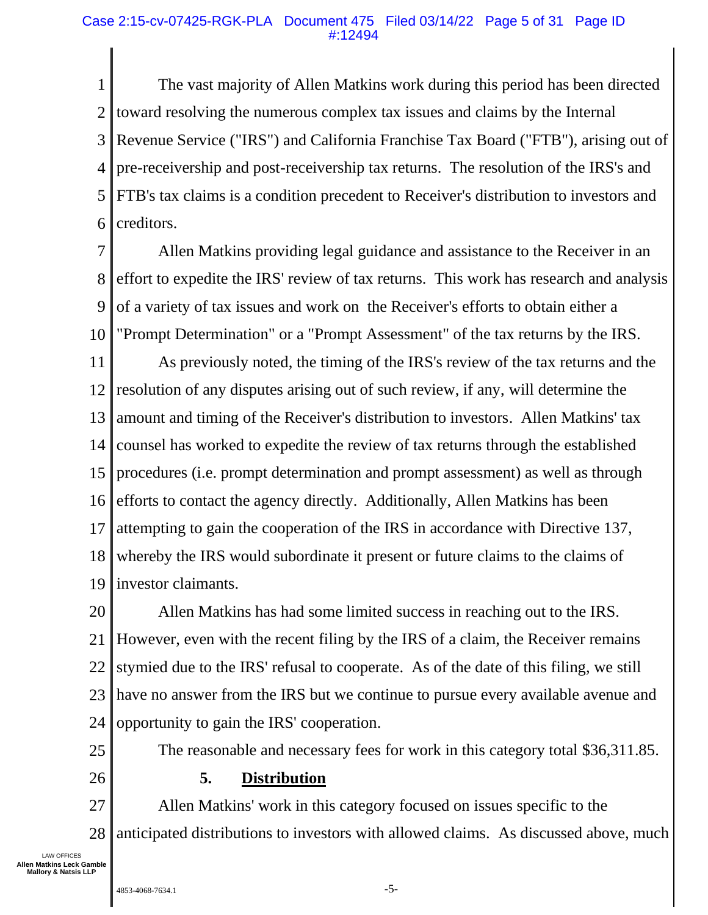#### Case 2:15-cv-07425-RGK-PLA Document 475 Filed 03/14/22 Page 5 of 31 Page ID #:12494

1 2 3 4 5 6 The vast majority of Allen Matkins work during this period has been directed toward resolving the numerous complex tax issues and claims by the Internal Revenue Service ("IRS") and California Franchise Tax Board ("FTB"), arising out of pre-receivership and post-receivership tax returns. The resolution of the IRS's and FTB's tax claims is a condition precedent to Receiver's distribution to investors and creditors.

7 8 9 10 Allen Matkins providing legal guidance and assistance to the Receiver in an effort to expedite the IRS' review of tax returns. This work has research and analysis of a variety of tax issues and work on the Receiver's efforts to obtain either a "Prompt Determination" or a "Prompt Assessment" of the tax returns by the IRS.

11 12 13 14 15 16 17 18 19 As previously noted, the timing of the IRS's review of the tax returns and the resolution of any disputes arising out of such review, if any, will determine the amount and timing of the Receiver's distribution to investors. Allen Matkins' tax counsel has worked to expedite the review of tax returns through the established procedures (i.e. prompt determination and prompt assessment) as well as through efforts to contact the agency directly. Additionally, Allen Matkins has been attempting to gain the cooperation of the IRS in accordance with Directive 137, whereby the IRS would subordinate it present or future claims to the claims of investor claimants.

20 21 22 23 24 Allen Matkins has had some limited success in reaching out to the IRS. However, even with the recent filing by the IRS of a claim, the Receiver remains stymied due to the IRS' refusal to cooperate. As of the date of this filing, we still have no answer from the IRS but we continue to pursue every available avenue and opportunity to gain the IRS' cooperation.

The reasonable and necessary fees for work in this category total \$36,311.85.

26

25

# **5. Distribution**

27 28 Allen Matkins' work in this category focused on issues specific to the anticipated distributions to investors with allowed claims. As discussed above, much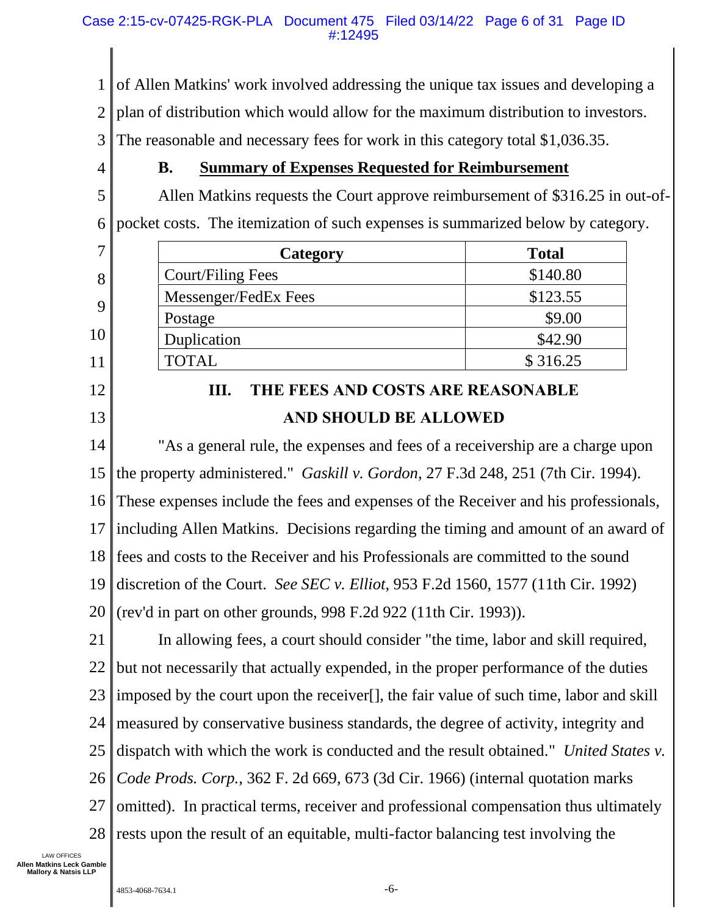1 of Allen Matkins' work involved addressing the unique tax issues and developing a

2 plan of distribution which would allow for the maximum distribution to investors.

3 The reasonable and necessary fees for work in this category total \$1,036.35.

4

7

8

9

10

11

12

13

# **B. Summary of Expenses Requested for Reimbursement**

5 6 Allen Matkins requests the Court approve reimbursement of \$316.25 in out-ofpocket costs. The itemization of such expenses is summarized below by category.

| Category             | <b>Total</b> |
|----------------------|--------------|
| Court/Filing Fees    | \$140.80     |
| Messenger/FedEx Fees | \$123.55     |
| Postage              | \$9.00       |
| Duplication          | \$42.90      |
| <b>TOTAL</b>         | \$316.25     |

# **III. THE FEES AND COSTS ARE REASONABLE AND SHOULD BE ALLOWED**

14 15 16 17 18 19 20 "As a general rule, the expenses and fees of a receivership are a charge upon the property administered." *Gaskill v. Gordon*, 27 F.3d 248, 251 (7th Cir. 1994). These expenses include the fees and expenses of the Receiver and his professionals, including Allen Matkins. Decisions regarding the timing and amount of an award of fees and costs to the Receiver and his Professionals are committed to the sound discretion of the Court. *See SEC v. Elliot*, 953 F.2d 1560, 1577 (11th Cir. 1992) (rev'd in part on other grounds, 998 F.2d 922 (11th Cir. 1993)).

21 22 23 24 25 26 27 28 In allowing fees, a court should consider "the time, labor and skill required, but not necessarily that actually expended, in the proper performance of the duties imposed by the court upon the receiver[], the fair value of such time, labor and skill measured by conservative business standards, the degree of activity, integrity and dispatch with which the work is conducted and the result obtained." *United States v. Code Prods. Corp.*, 362 F. 2d 669, 673 (3d Cir. 1966) (internal quotation marks omitted). In practical terms, receiver and professional compensation thus ultimately rests upon the result of an equitable, multi-factor balancing test involving the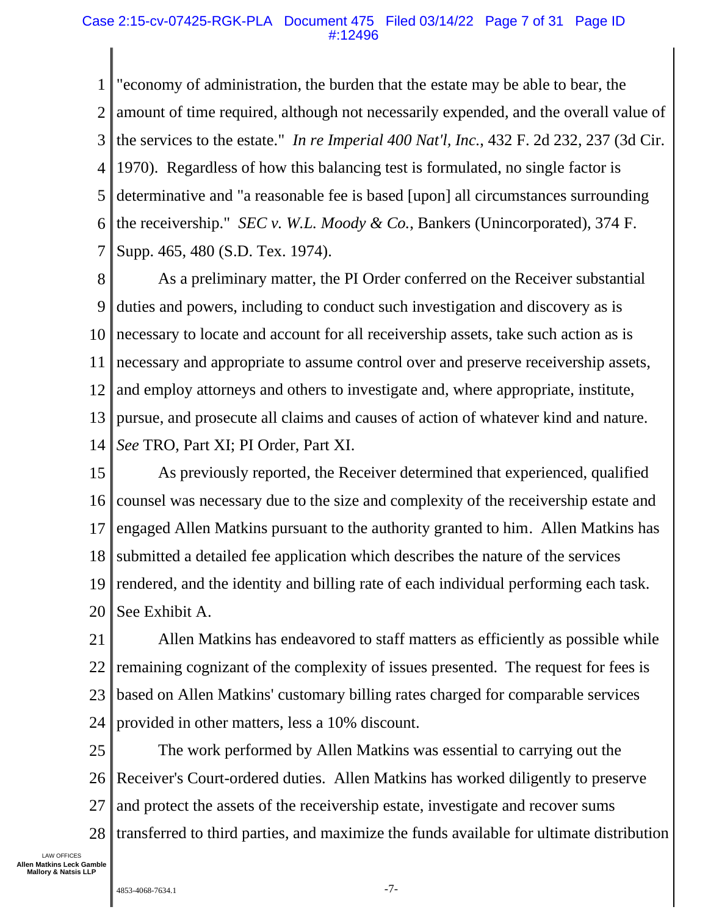#### Case 2:15-cv-07425-RGK-PLA Document 475 Filed 03/14/22 Page 7 of 31 Page ID #:12496

1 2 3 4 5 6 7 "economy of administration, the burden that the estate may be able to bear, the amount of time required, although not necessarily expended, and the overall value of the services to the estate." *In re Imperial 400 Nat'l, Inc.*, 432 F. 2d 232, 237 (3d Cir. 1970). Regardless of how this balancing test is formulated, no single factor is determinative and "a reasonable fee is based [upon] all circumstances surrounding the receivership." *SEC v. W.L. Moody & Co.*, Bankers (Unincorporated), 374 F. Supp. 465, 480 (S.D. Tex. 1974).

8 9 10 11 12 13 14 As a preliminary matter, the PI Order conferred on the Receiver substantial duties and powers, including to conduct such investigation and discovery as is necessary to locate and account for all receivership assets, take such action as is necessary and appropriate to assume control over and preserve receivership assets, and employ attorneys and others to investigate and, where appropriate, institute, pursue, and prosecute all claims and causes of action of whatever kind and nature. *See* TRO, Part XI; PI Order, Part XI.

15 16 17 18 19 20 As previously reported, the Receiver determined that experienced, qualified counsel was necessary due to the size and complexity of the receivership estate and engaged Allen Matkins pursuant to the authority granted to him. Allen Matkins has submitted a detailed fee application which describes the nature of the services rendered, and the identity and billing rate of each individual performing each task. See Exhibit A.

21 22 23 24 Allen Matkins has endeavored to staff matters as efficiently as possible while remaining cognizant of the complexity of issues presented. The request for fees is based on Allen Matkins' customary billing rates charged for comparable services provided in other matters, less a 10% discount.

25 26 27 28 The work performed by Allen Matkins was essential to carrying out the Receiver's Court-ordered duties. Allen Matkins has worked diligently to preserve and protect the assets of the receivership estate, investigate and recover sums transferred to third parties, and maximize the funds available for ultimate distribution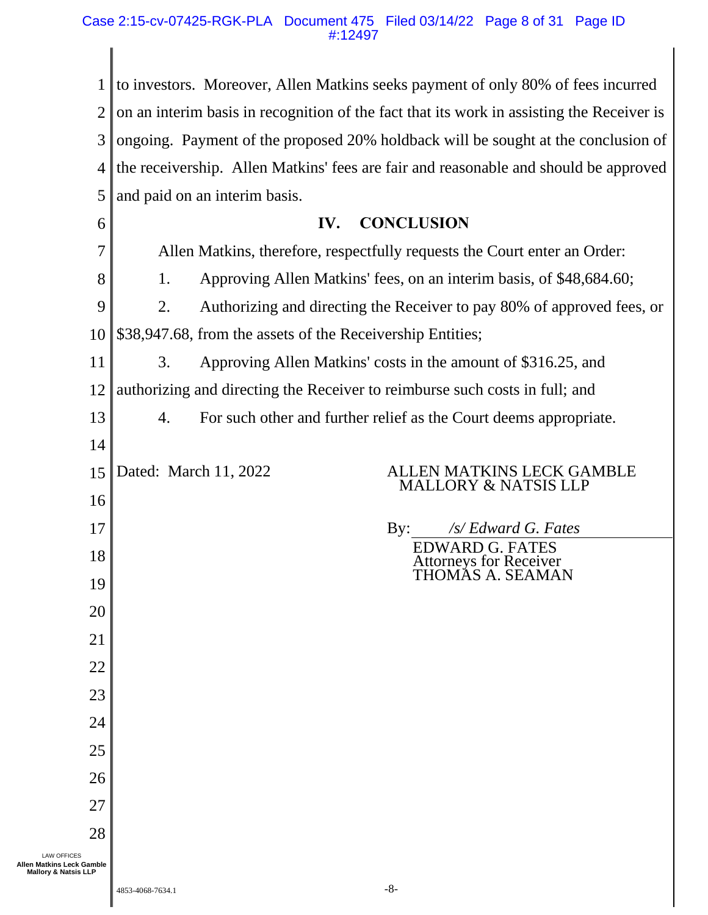#### Case 2:15-cv-07425-RGK-PLA Document 475 Filed 03/14/22 Page 8 of 31 Page ID #:12497

| $\mathbf 1$                                                                        | to investors. Moreover, Allen Matkins seeks payment of only 80% of fees incurred          |
|------------------------------------------------------------------------------------|-------------------------------------------------------------------------------------------|
| $\overline{2}$                                                                     | on an interim basis in recognition of the fact that its work in assisting the Receiver is |
| 3                                                                                  | ongoing. Payment of the proposed 20% holdback will be sought at the conclusion of         |
| $\overline{4}$                                                                     | the receivership. Allen Matkins' fees are fair and reasonable and should be approved      |
| 5                                                                                  | and paid on an interim basis.                                                             |
| 6                                                                                  | <b>CONCLUSION</b><br>IV.                                                                  |
| 7                                                                                  | Allen Matkins, therefore, respectfully requests the Court enter an Order:                 |
| 8                                                                                  | 1.<br>Approving Allen Matkins' fees, on an interim basis, of \$48,684.60;                 |
| 9                                                                                  | 2.<br>Authorizing and directing the Receiver to pay 80% of approved fees, or              |
| 10                                                                                 | \$38,947.68, from the assets of the Receivership Entities;                                |
| 11                                                                                 | 3.<br>Approving Allen Matkins' costs in the amount of \$316.25, and                       |
| 12                                                                                 | authorizing and directing the Receiver to reimburse such costs in full; and               |
| 13                                                                                 | For such other and further relief as the Court deems appropriate.<br>4.                   |
| 14                                                                                 |                                                                                           |
| 15                                                                                 | ALLEN MATKINS LECK GAMBLE<br>Dated: March 11, 2022<br>MALLORY & NATSIS LLP                |
| 16                                                                                 |                                                                                           |
| 17                                                                                 | /s/ Edward G. Fates<br>$\mathbf{By:}$<br><b>EDWARD G. FATES</b>                           |
| 18                                                                                 | <b>Attorneys for Receiver</b><br>THOMÁS A. SEAMAN                                         |
| 19                                                                                 |                                                                                           |
| 20                                                                                 |                                                                                           |
| 21                                                                                 |                                                                                           |
| 22                                                                                 |                                                                                           |
| 23                                                                                 |                                                                                           |
| 24                                                                                 |                                                                                           |
| 25                                                                                 |                                                                                           |
| 26                                                                                 |                                                                                           |
| 27                                                                                 |                                                                                           |
| 28                                                                                 |                                                                                           |
| <b>LAW OFFICES</b><br>Allen Matkins Leck Gamble<br><b>Mallory &amp; Natsis LLP</b> |                                                                                           |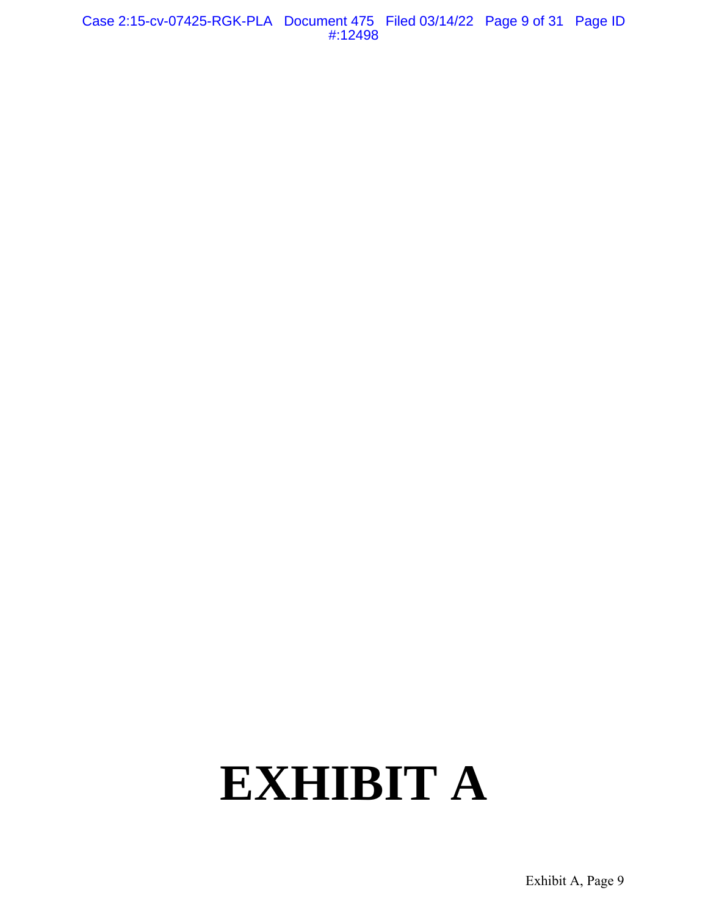Case 2:15-cv-07425-RGK-PLA Document 475 Filed 03/14/22 Page 9 of 31 Page ID #:12498

# **EXHIBIT A**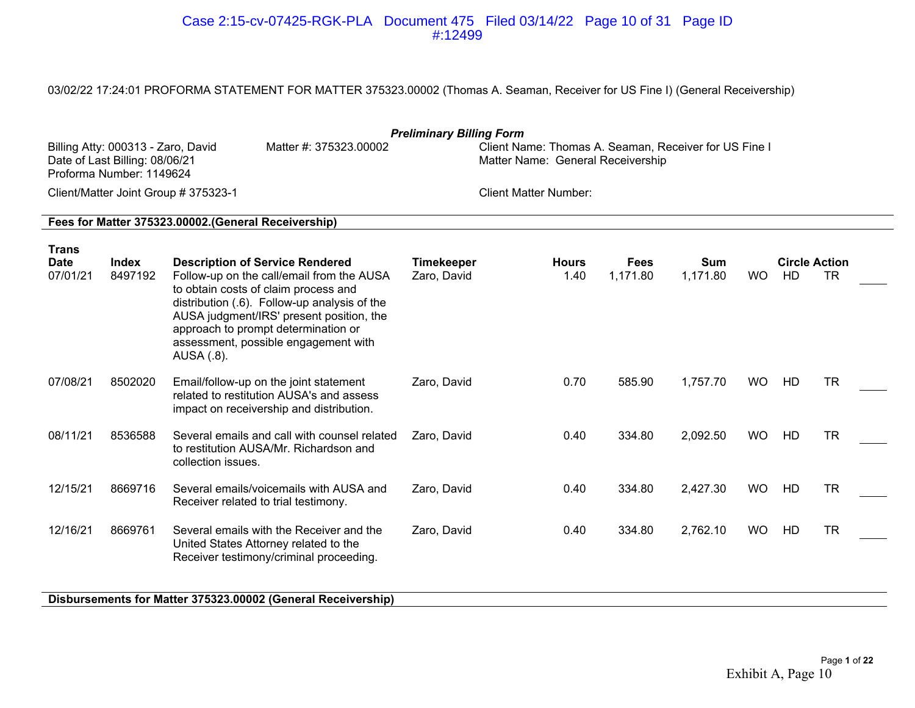#### Case 2:15-cv-07425-RGK-PLA Document 475 Filed 03/14/22 Page 10 of 31 Page ID #:12499

03/02/22 17:24:01 PROFORMA STATEMENT FOR MATTER 375323.00002 (Thomas A. Seaman, Receiver for US Fine I) (General Receivership)

|                                         | <b>Preliminary Billing Form</b><br>Billing Atty: 000313 - Zaro, David<br>Matter #: 375323,00002<br>Client Name: Thomas A. Seaman, Receiver for US Fine I<br>Date of Last Billing: 08/06/21<br>Matter Name: General Receivership<br>Proforma Number: 1149624<br>Client/Matter Joint Group # 375323-1 |                                                                                                                                                                                                                                                                                                                      |                                  |                              |                         |                        |           |                            |           |  |  |  |  |
|-----------------------------------------|-----------------------------------------------------------------------------------------------------------------------------------------------------------------------------------------------------------------------------------------------------------------------------------------------------|----------------------------------------------------------------------------------------------------------------------------------------------------------------------------------------------------------------------------------------------------------------------------------------------------------------------|----------------------------------|------------------------------|-------------------------|------------------------|-----------|----------------------------|-----------|--|--|--|--|
|                                         |                                                                                                                                                                                                                                                                                                     |                                                                                                                                                                                                                                                                                                                      |                                  | <b>Client Matter Number:</b> |                         |                        |           |                            |           |  |  |  |  |
|                                         |                                                                                                                                                                                                                                                                                                     | Fees for Matter 375323.00002. (General Receivership)                                                                                                                                                                                                                                                                 |                                  |                              |                         |                        |           |                            |           |  |  |  |  |
| <b>Trans</b><br><b>Date</b><br>07/01/21 | Index<br>8497192                                                                                                                                                                                                                                                                                    | <b>Description of Service Rendered</b><br>Follow-up on the call/email from the AUSA<br>to obtain costs of claim process and<br>distribution (.6). Follow-up analysis of the<br>AUSA judgment/IRS' present position, the<br>approach to prompt determination or<br>assessment, possible engagement with<br>AUSA (.8). | <b>Timekeeper</b><br>Zaro, David | <b>Hours</b><br>1.40         | <b>Fees</b><br>1,171.80 | <b>Sum</b><br>1,171.80 | <b>WO</b> | <b>Circle Action</b><br>HD | <b>TR</b> |  |  |  |  |
| 07/08/21                                | 8502020                                                                                                                                                                                                                                                                                             | Email/follow-up on the joint statement<br>related to restitution AUSA's and assess<br>impact on receivership and distribution.                                                                                                                                                                                       | Zaro, David                      | 0.70                         | 585.90                  | 1,757.70               | <b>WO</b> | HD                         | <b>TR</b> |  |  |  |  |
| 08/11/21                                | 8536588                                                                                                                                                                                                                                                                                             | Several emails and call with counsel related<br>to restitution AUSA/Mr. Richardson and<br>collection issues.                                                                                                                                                                                                         | Zaro, David                      | 0.40                         | 334.80                  | 2,092.50               | <b>WO</b> | HD                         | <b>TR</b> |  |  |  |  |
| 12/15/21                                | 8669716                                                                                                                                                                                                                                                                                             | Several emails/voicemails with AUSA and<br>Receiver related to trial testimony.                                                                                                                                                                                                                                      | Zaro, David                      | 0.40                         | 334.80                  | 2,427.30               | <b>WO</b> | HD                         | <b>TR</b> |  |  |  |  |
| 12/16/21                                | 8669761                                                                                                                                                                                                                                                                                             | Several emails with the Receiver and the<br>United States Attorney related to the<br>Receiver testimony/criminal proceeding.                                                                                                                                                                                         | Zaro, David                      | 0.40                         | 334.80                  | 2,762.10               | <b>WO</b> | HD                         | <b>TR</b> |  |  |  |  |
|                                         |                                                                                                                                                                                                                                                                                                     | Disbursements for Matter 375323.00002 (General Receivership)                                                                                                                                                                                                                                                         |                                  |                              |                         |                        |           |                            |           |  |  |  |  |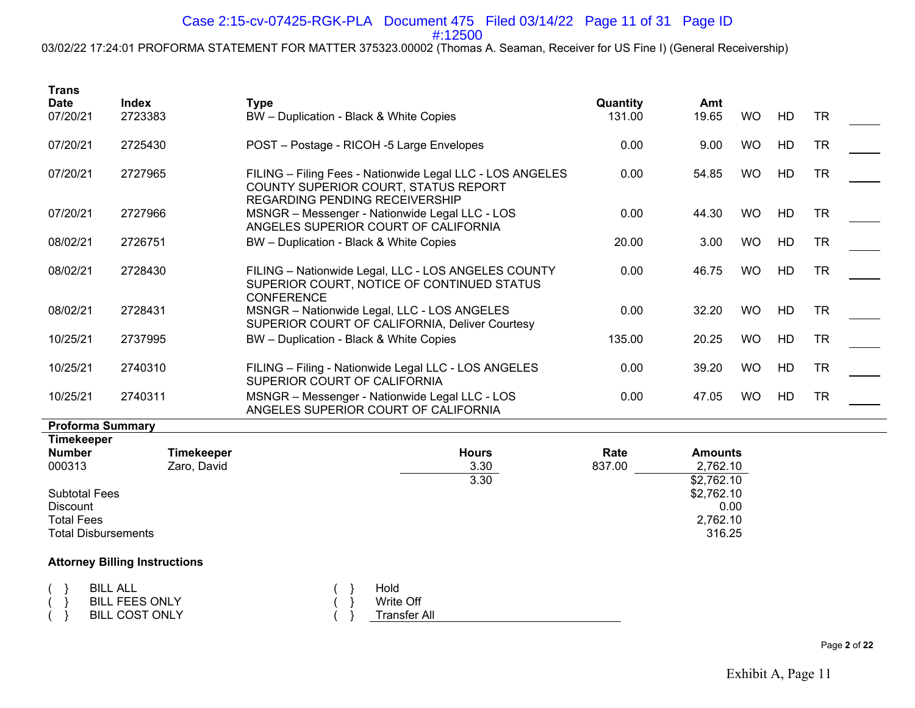## Case 2:15-cv-07425-RGK-PLA Document 475 Filed 03/14/22 Page 11 of 31 Page ID

#:12500

03/02/22 17:24:01 PROFORMA STATEMENT FOR MATTER 375323.00002 (Thomas A. Seaman, Receiver for US Fine I) (General Receivership)

| <b>Trans</b>                                                                               |                                                                   |                                                                                                                                     |                    |                                          |           |    |           |  |
|--------------------------------------------------------------------------------------------|-------------------------------------------------------------------|-------------------------------------------------------------------------------------------------------------------------------------|--------------------|------------------------------------------|-----------|----|-----------|--|
| <b>Date</b><br>07/20/21                                                                    | Index<br>2723383                                                  | <b>Type</b><br>BW - Duplication - Black & White Copies                                                                              | Quantity<br>131.00 | Amt<br>19.65                             | <b>WO</b> | HD | <b>TR</b> |  |
|                                                                                            |                                                                   |                                                                                                                                     |                    |                                          |           |    |           |  |
| 07/20/21                                                                                   | 2725430                                                           | POST - Postage - RICOH -5 Large Envelopes                                                                                           | 0.00               | 9.00                                     | <b>WO</b> | HD | <b>TR</b> |  |
| 07/20/21                                                                                   | 2727965                                                           | FILING - Filing Fees - Nationwide Legal LLC - LOS ANGELES<br>COUNTY SUPERIOR COURT, STATUS REPORT<br>REGARDING PENDING RECEIVERSHIP | 0.00               | 54.85                                    | <b>WO</b> | HD | <b>TR</b> |  |
| 07/20/21                                                                                   | 2727966                                                           | MSNGR - Messenger - Nationwide Legal LLC - LOS<br>ANGELES SUPERIOR COURT OF CALIFORNIA                                              | 0.00               | 44.30                                    | <b>WO</b> | HD | <b>TR</b> |  |
| 08/02/21                                                                                   | 2726751                                                           | BW - Duplication - Black & White Copies                                                                                             | 20.00              | 3.00                                     | <b>WO</b> | HD | <b>TR</b> |  |
| 08/02/21                                                                                   | 2728430                                                           | FILING - Nationwide Legal, LLC - LOS ANGELES COUNTY<br>SUPERIOR COURT, NOTICE OF CONTINUED STATUS<br><b>CONFERENCE</b>              | 0.00               | 46.75                                    | <b>WO</b> | HD | <b>TR</b> |  |
| 08/02/21                                                                                   | 2728431                                                           | MSNGR - Nationwide Legal, LLC - LOS ANGELES<br>SUPERIOR COURT OF CALIFORNIA, Deliver Courtesy                                       | 0.00               | 32.20                                    | <b>WO</b> | HD | <b>TR</b> |  |
| 10/25/21                                                                                   | 2737995                                                           | BW - Duplication - Black & White Copies                                                                                             | 135.00             | 20.25                                    | <b>WO</b> | HD | <b>TR</b> |  |
| 10/25/21                                                                                   | 2740310                                                           | FILING - Filing - Nationwide Legal LLC - LOS ANGELES<br>SUPERIOR COURT OF CALIFORNIA                                                | 0.00               | 39.20                                    | <b>WO</b> | HD | <b>TR</b> |  |
| 10/25/21                                                                                   | 2740311                                                           | MSNGR - Messenger - Nationwide Legal LLC - LOS<br>ANGELES SUPERIOR COURT OF CALIFORNIA                                              | 0.00               | 47.05                                    | <b>WO</b> | HD | <b>TR</b> |  |
| <b>Proforma Summary</b>                                                                    |                                                                   |                                                                                                                                     |                    |                                          |           |    |           |  |
| <b>Timekeeper</b><br><b>Number</b><br>000313                                               | <b>Timekeeper</b><br>Zaro, David                                  | <b>Hours</b><br>3.30<br>3.30                                                                                                        | Rate<br>837.00     | <b>Amounts</b><br>2,762.10<br>\$2,762.10 |           |    |           |  |
| <b>Subtotal Fees</b><br><b>Discount</b><br><b>Total Fees</b><br><b>Total Disbursements</b> |                                                                   |                                                                                                                                     |                    | \$2,762.10<br>0.00<br>2,762.10<br>316.25 |           |    |           |  |
|                                                                                            | <b>Attorney Billing Instructions</b>                              |                                                                                                                                     |                    |                                          |           |    |           |  |
|                                                                                            | <b>BILL ALL</b><br><b>BILL FEES ONLY</b><br><b>BILL COST ONLY</b> | Hold<br>Write Off<br><b>Transfer All</b>                                                                                            |                    |                                          |           |    |           |  |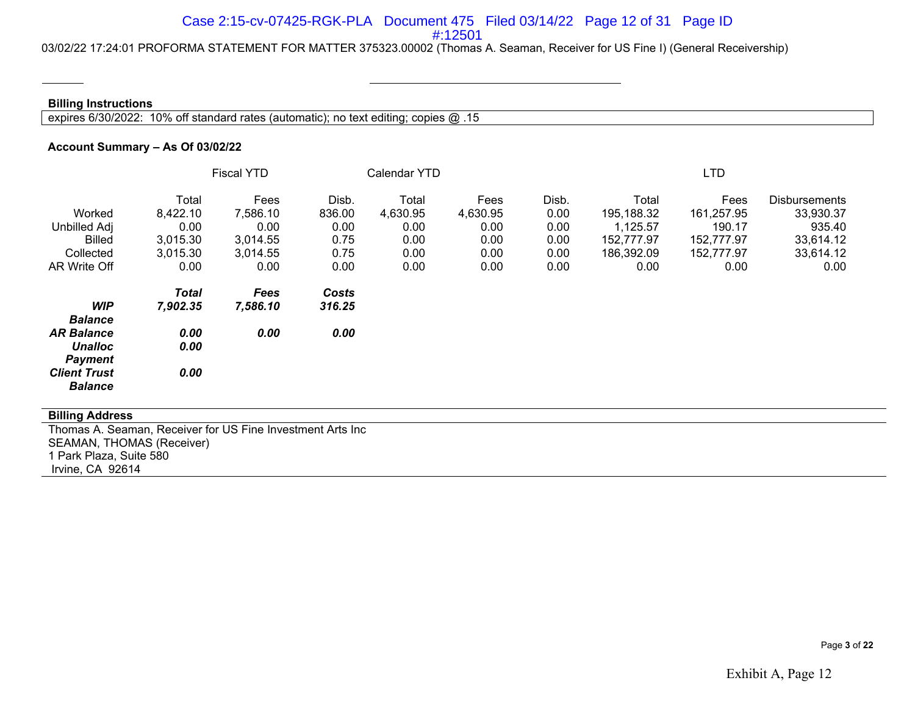#### Case 2:15-cv-07425-RGK-PLA Document 475 Filed 03/14/22 Page 12 of 31 Page ID #:12501

03/02/22 17:24:01 PROFORMA STATEMENT FOR MATTER 375323.00002 (Thomas A. Seaman, Receiver for US Fine I) (General Receivership)

#### **Billing Instructions**

expires 6/30/2022: 10% off standard rates (automatic); no text editing; copies @ .15

#### **Account Summary – As Of 03/02/22**

|                     | <b>Fiscal YTD</b> |          |        | Calendar YTD |          |       | <b>LTD</b> |            |                      |  |
|---------------------|-------------------|----------|--------|--------------|----------|-------|------------|------------|----------------------|--|
|                     | Total             | Fees     | Disb.  | Total        | Fees     | Disb. | Total      | Fees       | <b>Disbursements</b> |  |
| Worked              | 8,422.10          | 7,586.10 | 836.00 | 4,630.95     | 4,630.95 | 0.00  | 195,188.32 | 161,257.95 | 33,930.37            |  |
| <b>Unbilled Adj</b> | 0.00              | 0.00     | 0.00   | 0.00         | 0.00     | 0.00  | 1,125.57   | 190.17     | 935.40               |  |
| <b>Billed</b>       | 3,015.30          | 3,014.55 | 0.75   | 0.00         | 0.00     | 0.00  | 152,777.97 | 152,777.97 | 33,614.12            |  |
| Collected           | 3,015.30          | 3,014.55 | 0.75   | 0.00         | 0.00     | 0.00  | 186,392.09 | 152,777.97 | 33,614.12            |  |
| AR Write Off        | 0.00              | 0.00     | 0.00   | 0.00         | 0.00     | 0.00  | 0.00       | 0.00       | 0.00                 |  |
|                     | <b>Total</b>      | Fees     | Costs  |              |          |       |            |            |                      |  |
| <b>WIP</b>          | 7,902.35          | 7,586.10 | 316.25 |              |          |       |            |            |                      |  |
| <b>Balance</b>      |                   |          |        |              |          |       |            |            |                      |  |
| <b>AR Balance</b>   | 0.00              | 0.00     | 0.00   |              |          |       |            |            |                      |  |
| <b>Unalloc</b>      | 0.00              |          |        |              |          |       |            |            |                      |  |
| <b>Payment</b>      |                   |          |        |              |          |       |            |            |                      |  |
| <b>Client Trust</b> | 0.00              |          |        |              |          |       |            |            |                      |  |
| <b>Balance</b>      |                   |          |        |              |          |       |            |            |                      |  |

#### **Billing Address**

Thomas A. Seaman, Receiver for US Fine Investment Arts Inc SEAMAN, THOMAS (Receiver) 1 Park Plaza, Suite 580 Irvine, CA 92614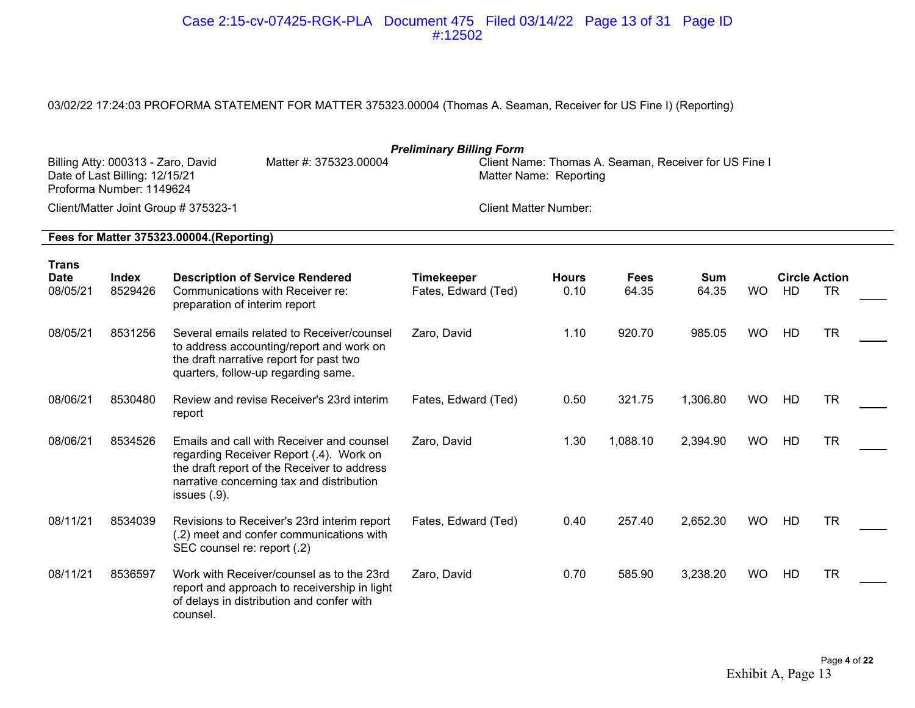#### Case 2:15-cv-07425-RGK-PLA Document 475 Filed 03/14/22 Page 13 of 31 Page ID #:12502

## 03/02/22 17:24:03 PROFORMA STATEMENT FOR MATTER 375323.00004 (Thomas A. Seaman, Receiver for US Fine I) (Reporting)

|                                  | <b>Preliminary Billing Form</b><br>Billing Atty: 000313 - Zaro, David<br>Matter #: 375323.00004<br>Client Name: Thomas A. Seaman, Receiver for US Fine I<br>Date of Last Billing: 12/15/21<br>Matter Name: Reporting<br>Proforma Number: 1149624 |                                                                                                                                                                                                     |                                          |                      |                      |                     |           |                            |           |  |  |  |  |
|----------------------------------|--------------------------------------------------------------------------------------------------------------------------------------------------------------------------------------------------------------------------------------------------|-----------------------------------------------------------------------------------------------------------------------------------------------------------------------------------------------------|------------------------------------------|----------------------|----------------------|---------------------|-----------|----------------------------|-----------|--|--|--|--|
|                                  |                                                                                                                                                                                                                                                  | Client/Matter Joint Group # 375323-1                                                                                                                                                                | <b>Client Matter Number:</b>             |                      |                      |                     |           |                            |           |  |  |  |  |
|                                  |                                                                                                                                                                                                                                                  | Fees for Matter 375323.00004.(Reporting)                                                                                                                                                            |                                          |                      |                      |                     |           |                            |           |  |  |  |  |
| Trans<br><b>Date</b><br>08/05/21 | Index<br>8529426                                                                                                                                                                                                                                 | <b>Description of Service Rendered</b><br>Communications with Receiver re:<br>preparation of interim report                                                                                         | <b>Timekeeper</b><br>Fates, Edward (Ted) | <b>Hours</b><br>0.10 | <b>Fees</b><br>64.35 | <b>Sum</b><br>64.35 | <b>WO</b> | <b>Circle Action</b><br>HD | <b>TR</b> |  |  |  |  |
| 08/05/21                         | 8531256                                                                                                                                                                                                                                          | Several emails related to Receiver/counsel<br>to address accounting/report and work on<br>the draft narrative report for past two<br>quarters, follow-up regarding same.                            | Zaro, David                              | 1.10                 | 920.70               | 985.05              | <b>WO</b> | HD                         | <b>TR</b> |  |  |  |  |
| 08/06/21                         | 8530480                                                                                                                                                                                                                                          | Review and revise Receiver's 23rd interim<br>report                                                                                                                                                 | Fates, Edward (Ted)                      | 0.50                 | 321.75               | 1,306.80            | <b>WO</b> | HD                         | <b>TR</b> |  |  |  |  |
| 08/06/21                         | 8534526                                                                                                                                                                                                                                          | Emails and call with Receiver and counsel<br>regarding Receiver Report (.4). Work on<br>the draft report of the Receiver to address<br>narrative concerning tax and distribution<br>issues $(.9)$ . | Zaro, David                              | 1.30                 | 1,088.10             | 2,394.90            | <b>WO</b> | HD                         | <b>TR</b> |  |  |  |  |
| 08/11/21                         | 8534039                                                                                                                                                                                                                                          | Revisions to Receiver's 23rd interim report<br>(.2) meet and confer communications with<br>SEC counsel re: report (.2)                                                                              | Fates, Edward (Ted)                      | 0.40                 | 257.40               | 2,652.30            | <b>WO</b> | HD                         | <b>TR</b> |  |  |  |  |
| 08/11/21                         | 8536597                                                                                                                                                                                                                                          | Work with Receiver/counsel as to the 23rd<br>report and approach to receivership in light<br>of delays in distribution and confer with<br>counsel.                                                  | Zaro, David                              | 0.70                 | 585.90               | 3,238.20            | <b>WO</b> | HD                         | <b>TR</b> |  |  |  |  |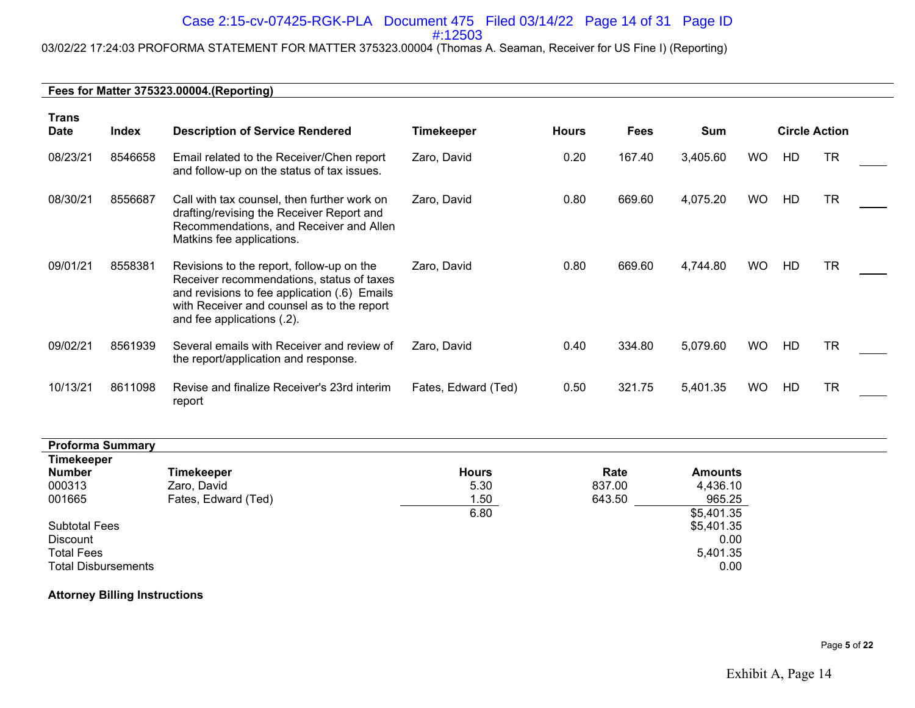#### Case 2:15-cv-07425-RGK-PLA Document 475 Filed 03/14/22 Page 14 of 31 Page ID #:12503

# 03/02/22 17:24:03 PROFORMA STATEMENT FOR MATTER 375323.00004 (Thomas A. Seaman, Receiver for US Fine I) (Reporting)

#### **Fees for Matter 375323.00004.(Reporting)**

| <b>Trans</b><br><b>Date</b> | <b>Index</b> | <b>Description of Service Rendered</b>                                                                                                                                                                             | <b>Timekeeper</b>   | <b>Hours</b> | <b>Fees</b> | Sum      |           | <b>Circle Action</b> |           |  |
|-----------------------------|--------------|--------------------------------------------------------------------------------------------------------------------------------------------------------------------------------------------------------------------|---------------------|--------------|-------------|----------|-----------|----------------------|-----------|--|
| 08/23/21                    | 8546658      | Email related to the Receiver/Chen report<br>and follow-up on the status of tax issues.                                                                                                                            | Zaro, David         | 0.20         | 167.40      | 3,405.60 | <b>WO</b> | HD                   | <b>TR</b> |  |
| 08/30/21                    | 8556687      | Call with tax counsel, then further work on<br>drafting/revising the Receiver Report and<br>Recommendations, and Receiver and Allen<br>Matkins fee applications.                                                   | Zaro, David         | 0.80         | 669.60      | 4,075.20 | <b>WO</b> | HD                   | <b>TR</b> |  |
| 09/01/21                    | 8558381      | Revisions to the report, follow-up on the<br>Receiver recommendations, status of taxes<br>and revisions to fee application (.6) Emails<br>with Receiver and counsel as to the report<br>and fee applications (.2). | Zaro, David         | 0.80         | 669.60      | 4,744.80 | <b>WO</b> | HD                   | <b>TR</b> |  |
| 09/02/21                    | 8561939      | Several emails with Receiver and review of<br>the report/application and response.                                                                                                                                 | Zaro, David         | 0.40         | 334.80      | 5,079.60 | <b>WO</b> | HD                   | <b>TR</b> |  |
| 10/13/21                    | 8611098      | Revise and finalize Receiver's 23rd interim<br>report                                                                                                                                                              | Fates, Edward (Ted) | 0.50         | 321.75      | 5,401.35 | WO.       | HD                   | <b>TR</b> |  |

| <b>Proforma Summary</b>    |                     |              |        |                |
|----------------------------|---------------------|--------------|--------|----------------|
| <b>Timekeeper</b>          |                     |              |        |                |
| <b>Number</b>              | <b>Timekeeper</b>   | <b>Hours</b> | Rate   | <b>Amounts</b> |
| 000313                     | Zaro, David         | 5.30         | 837.00 | 4,436.10       |
| 001665                     | Fates, Edward (Ted) | 1.50         | 643.50 | 965.25         |
|                            |                     | 6.80         |        | \$5,401.35     |
| <b>Subtotal Fees</b>       |                     |              |        | \$5,401.35     |
| Discount                   |                     |              |        | 0.00           |
| <b>Total Fees</b>          |                     |              |        | 5,401.35       |
| <b>Total Disbursements</b> |                     |              |        | 0.00           |

#### **Attorney Billing Instructions**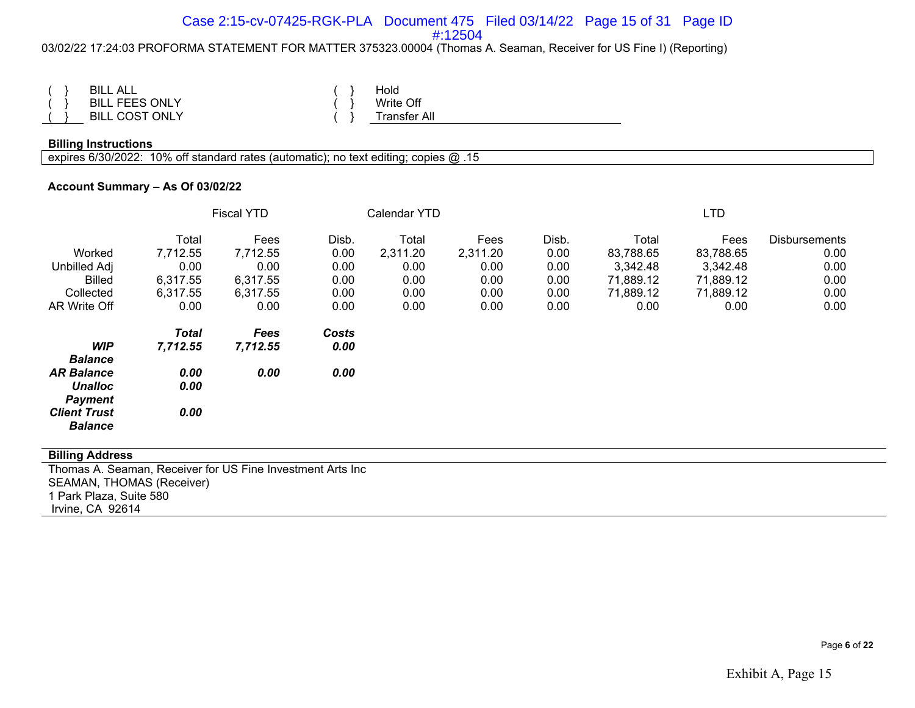#### Case 2:15-cv-07425-RGK-PLA Document 475 Filed 03/14/22 Page 15 of 31 Page ID #:12504

#### 03/02/22 17:24:03 PROFORMA STATEMENT FOR MATTER 375323.00004 (Thomas A. Seaman, Receiver for US Fine I) (Reporting)

| <b>BILL ALL</b>            |  | Hold        |
|----------------------------|--|-------------|
| L FEES ONLY<br><b>BILL</b> |  | Write Off   |
| <b>BILL COST ONLY</b>      |  | ransfer All |

#### **Billing Instructions**

expires 6/30/2022: 10% off standard rates (automatic); no text editing; copies @ .15

#### **Account Summary – As Of 03/02/22**

|                                                       | <b>Fiscal YTD</b>        |                  |               | Calendar YTD |          |       | <b>LTD</b> |           |                      |
|-------------------------------------------------------|--------------------------|------------------|---------------|--------------|----------|-------|------------|-----------|----------------------|
|                                                       | Total                    | Fees             | Disb.         | Total        | Fees     | Disb. | Total      | Fees      | <b>Disbursements</b> |
| Worked                                                | 7,712.55                 | 7,712.55         | 0.00          | 2,311.20     | 2,311.20 | 0.00  | 83,788.65  | 83,788.65 | 0.00                 |
| Unbilled Adj                                          | 0.00                     | 0.00             | 0.00          | 0.00         | 0.00     | 0.00  | 3,342.48   | 3,342.48  | 0.00                 |
| <b>Billed</b>                                         | 6,317.55                 | 6,317.55         | 0.00          | 0.00         | 0.00     | 0.00  | 71,889.12  | 71,889.12 | 0.00                 |
| Collected                                             | 6,317.55                 | 6,317.55         | 0.00          | 0.00         | 0.00     | 0.00  | 71,889.12  | 71,889.12 | 0.00                 |
| AR Write Off                                          | 0.00                     | 0.00             | 0.00          | 0.00         | 0.00     | 0.00  | 0.00       | 0.00      | 0.00                 |
| <b>WIP</b>                                            | <b>Total</b><br>7,712.55 | Fees<br>7,712.55 | Costs<br>0.00 |              |          |       |            |           |                      |
| <b>Balance</b>                                        |                          |                  |               |              |          |       |            |           |                      |
| <b>AR Balance</b><br><b>Unalloc</b><br><b>Payment</b> | 0.00<br>0.00             | 0.00             | 0.00          |              |          |       |            |           |                      |
| <b>Client Trust</b><br><b>Balance</b>                 | 0.00                     |                  |               |              |          |       |            |           |                      |

#### **Billing Address**

Thomas A. Seaman, Receiver for US Fine Investment Arts Inc SEAMAN, THOMAS (Receiver) 1 Park Plaza, Suite 580 Irvine, CA 92614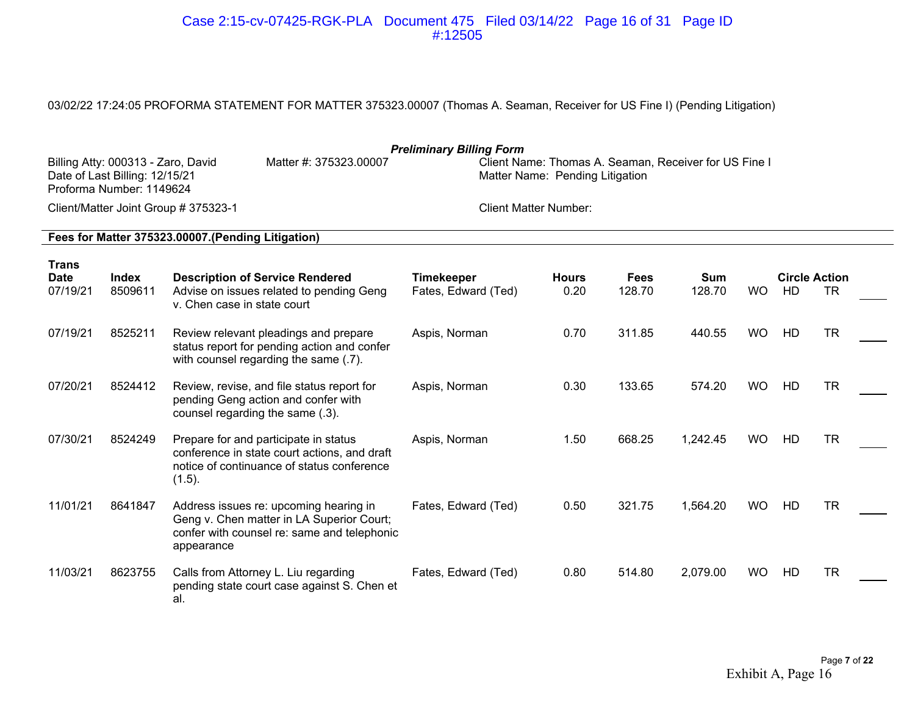#### Case 2:15-cv-07425-RGK-PLA Document 475 Filed 03/14/22 Page 16 of 31 Page ID #:12505

## 03/02/22 17:24:05 PROFORMA STATEMENT FOR MATTER 375323.00007 (Thomas A. Seaman, Receiver for US Fine I) (Pending Litigation)

| <b>Preliminary Billing Form</b><br>Client Name: Thomas A. Seaman, Receiver for US Fine I<br>Billing Atty: 000313 - Zaro, David<br>Matter #: 375323.00007<br>Date of Last Billing: 12/15/21<br>Matter Name: Pending Litigation<br>Proforma Number: 1149624 |                  |                                                                                                                                                  |                                          |                      |                       |               |           |    |                                   |  |  |
|-----------------------------------------------------------------------------------------------------------------------------------------------------------------------------------------------------------------------------------------------------------|------------------|--------------------------------------------------------------------------------------------------------------------------------------------------|------------------------------------------|----------------------|-----------------------|---------------|-----------|----|-----------------------------------|--|--|
|                                                                                                                                                                                                                                                           |                  | Client/Matter Joint Group # 375323-1                                                                                                             | <b>Client Matter Number:</b>             |                      |                       |               |           |    |                                   |  |  |
|                                                                                                                                                                                                                                                           |                  | Fees for Matter 375323.00007. (Pending Litigation)                                                                                               |                                          |                      |                       |               |           |    |                                   |  |  |
| Trans<br><b>Date</b><br>07/19/21                                                                                                                                                                                                                          | Index<br>8509611 | <b>Description of Service Rendered</b><br>Advise on issues related to pending Geng<br>v. Chen case in state court                                | <b>Timekeeper</b><br>Fates, Edward (Ted) | <b>Hours</b><br>0.20 | <b>Fees</b><br>128.70 | Sum<br>128.70 | <b>WO</b> | HD | <b>Circle Action</b><br><b>TR</b> |  |  |
| 07/19/21                                                                                                                                                                                                                                                  | 8525211          | Review relevant pleadings and prepare<br>status report for pending action and confer<br>with counsel regarding the same (.7).                    | Aspis, Norman                            | 0.70                 | 311.85                | 440.55        | <b>WO</b> | HD | <b>TR</b>                         |  |  |
| 07/20/21                                                                                                                                                                                                                                                  | 8524412          | Review, revise, and file status report for<br>pending Geng action and confer with<br>counsel regarding the same (.3).                            | Aspis, Norman                            | 0.30                 | 133.65                | 574.20        | <b>WO</b> | HD | <b>TR</b>                         |  |  |
| 07/30/21                                                                                                                                                                                                                                                  | 8524249          | Prepare for and participate in status<br>conference in state court actions, and draft<br>notice of continuance of status conference<br>(1.5).    | Aspis, Norman                            | 1.50                 | 668.25                | 1,242.45      | <b>WO</b> | HD | <b>TR</b>                         |  |  |
| 11/01/21                                                                                                                                                                                                                                                  | 8641847          | Address issues re: upcoming hearing in<br>Geng v. Chen matter in LA Superior Court;<br>confer with counsel re: same and telephonic<br>appearance | Fates, Edward (Ted)                      | 0.50                 | 321.75                | 1,564.20      | <b>WO</b> | HD | <b>TR</b>                         |  |  |
| 11/03/21                                                                                                                                                                                                                                                  | 8623755          | Calls from Attorney L. Liu regarding<br>pending state court case against S. Chen et<br>al.                                                       | Fates, Edward (Ted)                      | 0.80                 | 514.80                | 2,079.00      | <b>WO</b> | HD | <b>TR</b>                         |  |  |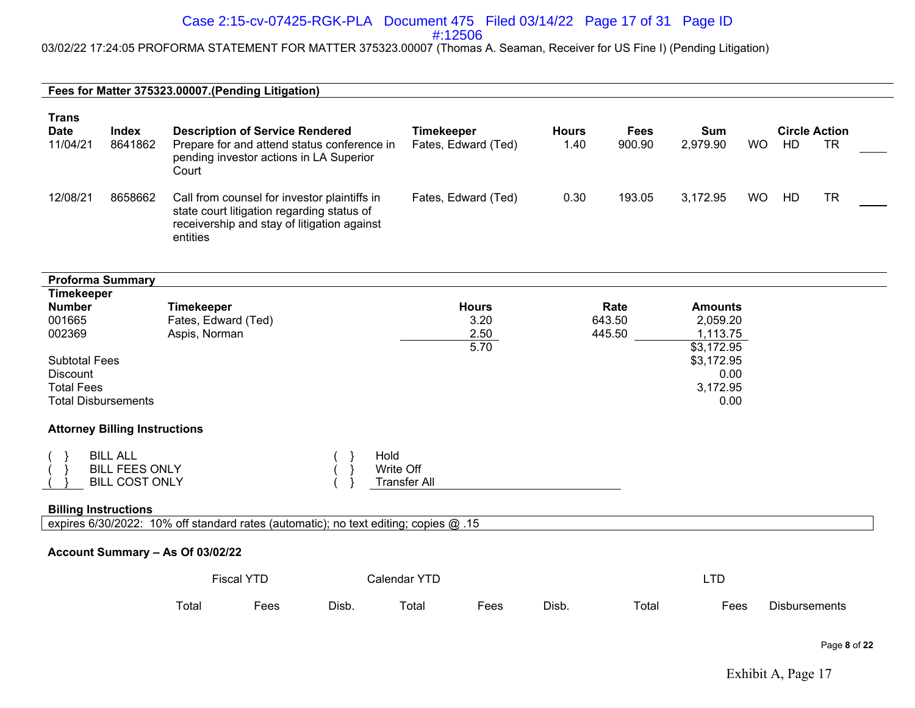#### Case 2:15-cv-07425-RGK-PLA Document 475 Filed 03/14/22 Page 17 of 31 Page ID #:12506

03/02/22 17:24:05 PROFORMA STATEMENT FOR MATTER 375323.00007 (Thomas A. Seaman, Receiver for US Fine I) (Pending Litigation)

**Fees for Matter 375323.00007.(Pending Litigation)**

| <b>Trans</b><br><b>Date</b><br>11/04/21 | Index<br>8641862 | <b>Description of Service Rendered</b><br>Prepare for and attend status conference in<br>pending investor actions in LA Superior                               | Timekeeper<br>Fates, Edward (Ted) | <b>Hours</b><br>1.40 | Fees<br>900.90 | Sum<br>2,979.90 | <b>WO</b> | <b>Circle Action</b><br>HD | TR |
|-----------------------------------------|------------------|----------------------------------------------------------------------------------------------------------------------------------------------------------------|-----------------------------------|----------------------|----------------|-----------------|-----------|----------------------------|----|
| 12/08/21                                | 8658662          | Court<br>Call from counsel for investor plaintiffs in<br>state court litigation regarding status of<br>receivership and stay of litigation against<br>entities | Fates, Edward (Ted)               | 0.30                 | 193.05         | 3.172.95        | <b>WO</b> | HD                         | TR |

#### **Account Summary – As Of 03/02/22**

|       | <b>Fiscal YTD</b> |       | Calendar YTD |     |       |       | <b>Tr</b> |                      |  |  |
|-------|-------------------|-------|--------------|-----|-------|-------|-----------|----------------------|--|--|
| Total | ees               | Disb. | $\tau$ otal  | ees | Disb. | Total | Fees      | <b>Disbursements</b> |  |  |

Page **8** of **22**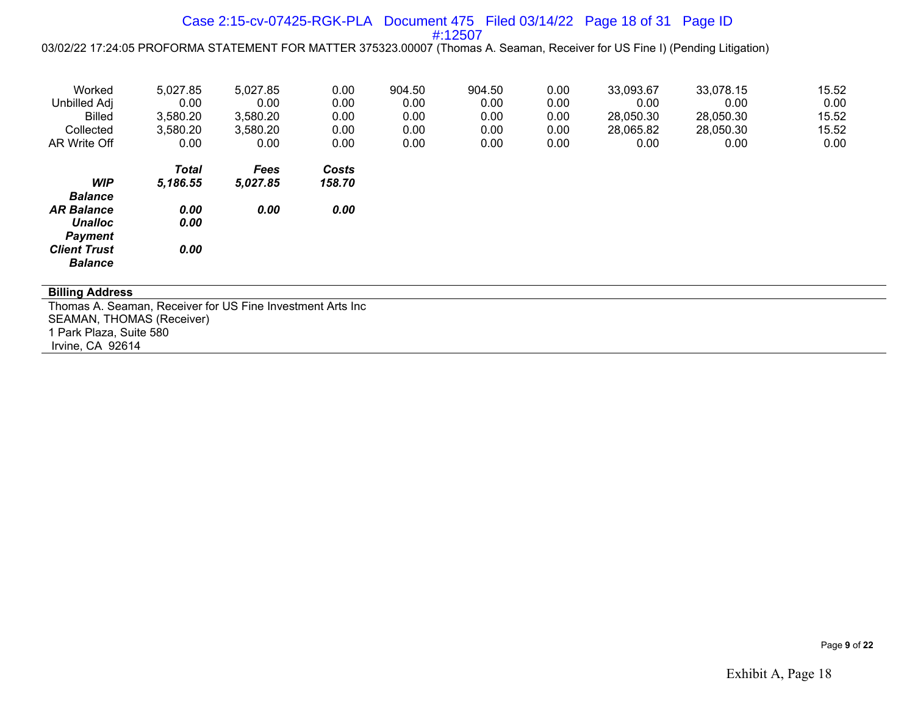#### Case 2:15-cv-07425-RGK-PLA Document 475 Filed 03/14/22 Page 18 of 31 Page ID #:12507

03/02/22 17:24:05 PROFORMA STATEMENT FOR MATTER 375323.00007 (Thomas A. Seaman, Receiver for US Fine I) (Pending Litigation)

| Worked<br>Unbilled Adj<br><b>Billed</b> | 5,027.85<br>0.00<br>3,580.20 | 5,027.85<br>0.00<br>3,580.20 | 0.00<br>0.00<br>0.00 | 904.50<br>0.00<br>0.00 | 904.50<br>0.00<br>0.00 | 0.00<br>0.00<br>0.00 | 33,093.67<br>0.00<br>28,050.30 | 33,078.15<br>0.00<br>28,050.30 | 15.52<br>0.00<br>15.52 |
|-----------------------------------------|------------------------------|------------------------------|----------------------|------------------------|------------------------|----------------------|--------------------------------|--------------------------------|------------------------|
| Collected                               | 3,580.20                     | 3,580.20                     | 0.00                 | 0.00                   | 0.00                   | 0.00                 | 28,065.82                      | 28,050.30                      | 15.52                  |
| AR Write Off                            | 0.00                         | 0.00                         | 0.00                 | 0.00                   | 0.00                   | 0.00                 | 0.00                           | 0.00                           | 0.00                   |
|                                         | <b>Total</b>                 | Fees                         | Costs                |                        |                        |                      |                                |                                |                        |
| <b>WIP</b><br><b>Balance</b>            | 5,186.55                     | 5,027.85                     | 158.70               |                        |                        |                      |                                |                                |                        |
| <b>AR Balance</b>                       | 0.00                         | 0.00                         | 0.00                 |                        |                        |                      |                                |                                |                        |
| <b>Unalloc</b><br><b>Payment</b>        | 0.00                         |                              |                      |                        |                        |                      |                                |                                |                        |
| <b>Client Trust</b><br><b>Balance</b>   | 0.00                         |                              |                      |                        |                        |                      |                                |                                |                        |

#### **Billing Address**

Thomas A. Seaman, Receiver for US Fine Investment Arts Inc SEAMAN, THOMAS (Receiver) 1 Park Plaza, Suite 580 Irvine, CA 92614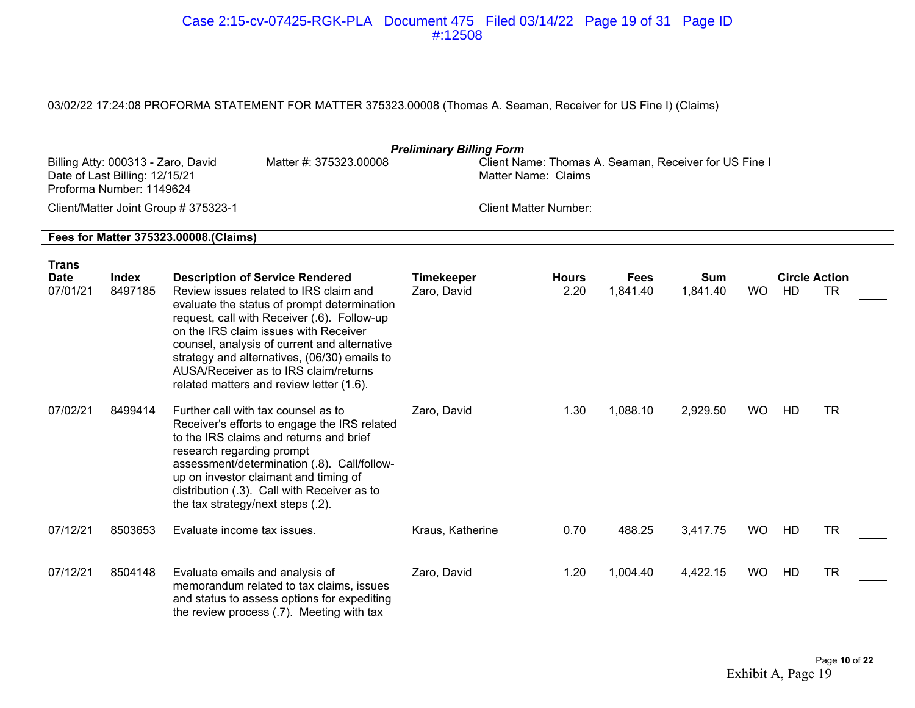#### Case 2:15-cv-07425-RGK-PLA Document 475 Filed 03/14/22 Page 19 of 31 Page ID #:12508

## 03/02/22 17:24:08 PROFORMA STATEMENT FOR MATTER 375323.00008 (Thomas A. Seaman, Receiver for US Fine I) (Claims)

| <b>Preliminary Billing Form</b><br>Billing Atty: 000313 - Zaro, David<br>Matter #: 375323.00008<br>Client Name: Thomas A. Seaman, Receiver for US Fine I<br>Date of Last Billing: 12/15/21<br>Matter Name: Claims<br>Proforma Number: 1149624 |                         |                                                                                                                                                                                                                                                                                                                                                                                                              |                                  |                              |                         |                        |           |                            |           |  |
|-----------------------------------------------------------------------------------------------------------------------------------------------------------------------------------------------------------------------------------------------|-------------------------|--------------------------------------------------------------------------------------------------------------------------------------------------------------------------------------------------------------------------------------------------------------------------------------------------------------------------------------------------------------------------------------------------------------|----------------------------------|------------------------------|-------------------------|------------------------|-----------|----------------------------|-----------|--|
|                                                                                                                                                                                                                                               |                         | Client/Matter Joint Group # 375323-1                                                                                                                                                                                                                                                                                                                                                                         |                                  | <b>Client Matter Number:</b> |                         |                        |           |                            |           |  |
|                                                                                                                                                                                                                                               |                         | Fees for Matter 375323.00008.(Claims)                                                                                                                                                                                                                                                                                                                                                                        |                                  |                              |                         |                        |           |                            |           |  |
| Trans<br><b>Date</b><br>07/01/21                                                                                                                                                                                                              | <b>Index</b><br>8497185 | <b>Description of Service Rendered</b><br>Review issues related to IRS claim and<br>evaluate the status of prompt determination<br>request, call with Receiver (.6). Follow-up<br>on the IRS claim issues with Receiver<br>counsel, analysis of current and alternative<br>strategy and alternatives, (06/30) emails to<br>AUSA/Receiver as to IRS claim/returns<br>related matters and review letter (1.6). | <b>Timekeeper</b><br>Zaro, David | <b>Hours</b><br>2.20         | <b>Fees</b><br>1,841.40 | <b>Sum</b><br>1,841.40 | <b>WO</b> | <b>Circle Action</b><br>HD | <b>TR</b> |  |
| 07/02/21                                                                                                                                                                                                                                      | 8499414                 | Further call with tax counsel as to<br>Receiver's efforts to engage the IRS related<br>to the IRS claims and returns and brief<br>research regarding prompt<br>assessment/determination (.8). Call/follow-<br>up on investor claimant and timing of<br>distribution (.3). Call with Receiver as to<br>the tax strategy/next steps (.2).                                                                      | Zaro, David                      | 1.30                         | 1,088.10                | 2,929.50               | <b>WO</b> | HD                         | TR.       |  |
| 07/12/21                                                                                                                                                                                                                                      | 8503653                 | Evaluate income tax issues.                                                                                                                                                                                                                                                                                                                                                                                  | Kraus, Katherine                 | 0.70                         | 488.25                  | 3,417.75               | <b>WO</b> | HD                         | TR.       |  |
| 07/12/21                                                                                                                                                                                                                                      | 8504148                 | Evaluate emails and analysis of<br>memorandum related to tax claims, issues<br>and status to assess options for expediting<br>the review process (.7). Meeting with tax                                                                                                                                                                                                                                      | Zaro, David                      | 1.20                         | 1,004.40                | 4,422.15               | <b>WO</b> | HD                         | TR.       |  |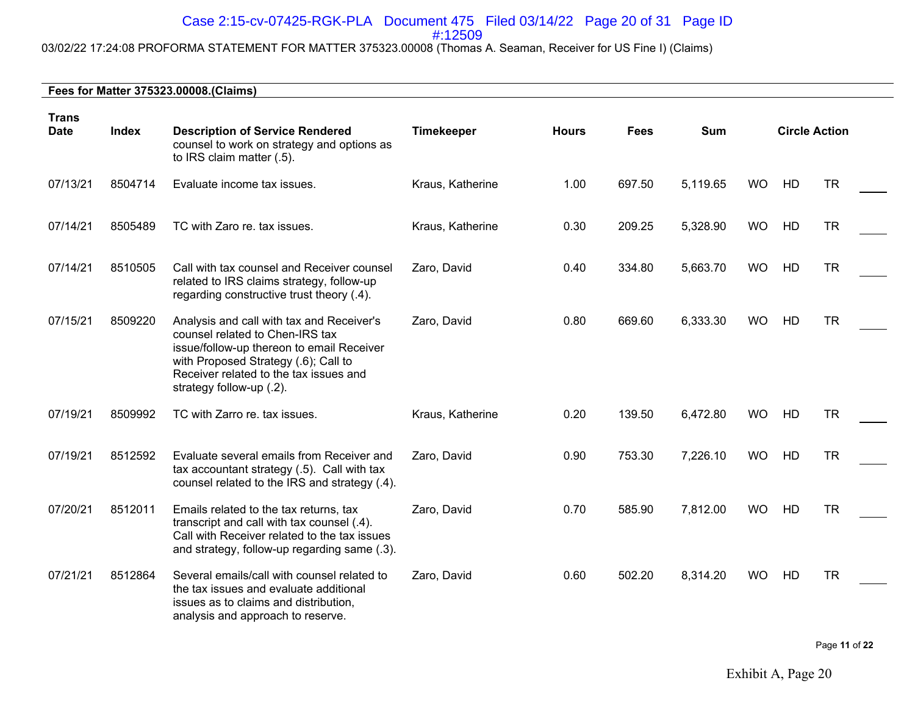#### Case 2:15-cv-07425-RGK-PLA Document 475 Filed 03/14/22 Page 20 of 31 Page ID #:12509

# 03/02/22 17:24:08 PROFORMA STATEMENT FOR MATTER 375323.00008 (Thomas A. Seaman, Receiver for US Fine I) (Claims)

| <b>Trans</b><br><b>Date</b> | <b>Index</b> | <b>Description of Service Rendered</b><br>counsel to work on strategy and options as<br>to IRS claim matter (.5).                                                                                                                       | <b>Timekeeper</b> | <b>Hours</b> | <b>Fees</b> | Sum      | <b>Circle Action</b> |    |           |
|-----------------------------|--------------|-----------------------------------------------------------------------------------------------------------------------------------------------------------------------------------------------------------------------------------------|-------------------|--------------|-------------|----------|----------------------|----|-----------|
| 07/13/21                    | 8504714      | Evaluate income tax issues.                                                                                                                                                                                                             | Kraus, Katherine  | 1.00         | 697.50      | 5,119.65 | <b>WO</b>            | HD | <b>TR</b> |
| 07/14/21                    | 8505489      | TC with Zaro re. tax issues.                                                                                                                                                                                                            | Kraus, Katherine  | 0.30         | 209.25      | 5,328.90 | <b>WO</b>            | HD | <b>TR</b> |
| 07/14/21                    | 8510505      | Call with tax counsel and Receiver counsel<br>related to IRS claims strategy, follow-up<br>regarding constructive trust theory (.4).                                                                                                    | Zaro, David       | 0.40         | 334.80      | 5,663.70 | <b>WO</b>            | HD | <b>TR</b> |
| 07/15/21                    | 8509220      | Analysis and call with tax and Receiver's<br>counsel related to Chen-IRS tax<br>issue/follow-up thereon to email Receiver<br>with Proposed Strategy (.6); Call to<br>Receiver related to the tax issues and<br>strategy follow-up (.2). | Zaro, David       | 0.80         | 669.60      | 6,333.30 | <b>WO</b>            | HD | <b>TR</b> |
| 07/19/21                    | 8509992      | TC with Zarro re. tax issues.                                                                                                                                                                                                           | Kraus, Katherine  | 0.20         | 139.50      | 6,472.80 | <b>WO</b>            | HD | <b>TR</b> |
| 07/19/21                    | 8512592      | Evaluate several emails from Receiver and<br>tax accountant strategy (.5). Call with tax<br>counsel related to the IRS and strategy (.4).                                                                                               | Zaro, David       | 0.90         | 753.30      | 7,226.10 | <b>WO</b>            | HD | <b>TR</b> |
| 07/20/21                    | 8512011      | Emails related to the tax returns, tax<br>transcript and call with tax counsel (.4).<br>Call with Receiver related to the tax issues<br>and strategy, follow-up regarding same (.3).                                                    | Zaro, David       | 0.70         | 585.90      | 7,812.00 | <b>WO</b>            | HD | <b>TR</b> |
| 07/21/21                    | 8512864      | Several emails/call with counsel related to<br>the tax issues and evaluate additional<br>issues as to claims and distribution,<br>analysis and approach to reserve.                                                                     | Zaro, David       | 0.60         | 502.20      | 8,314.20 | <b>WO</b>            | HD | <b>TR</b> |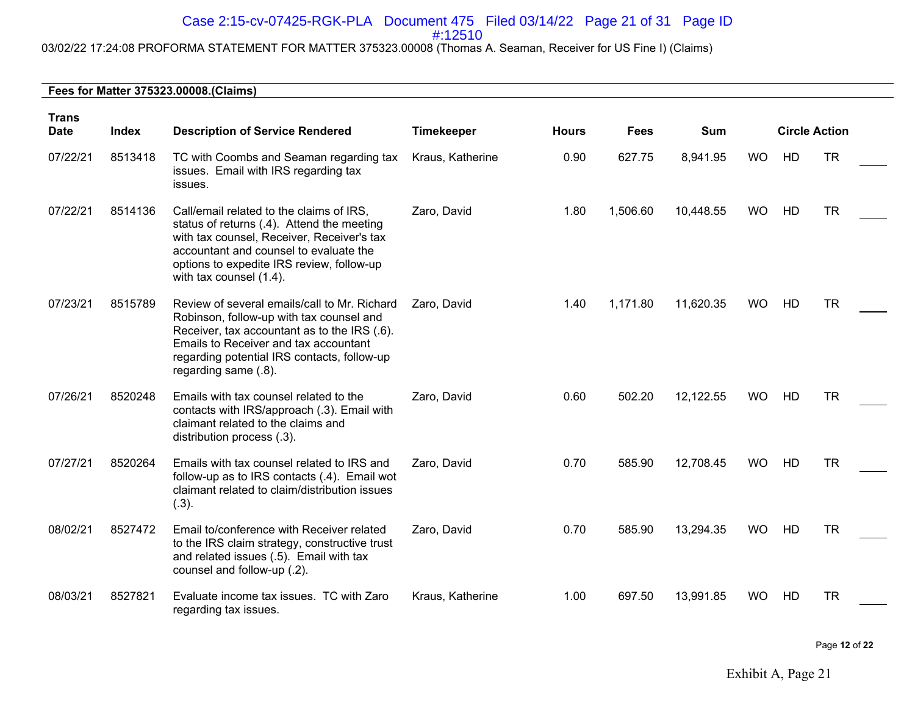# Case 2:15-cv-07425-RGK-PLA Document 475 Filed 03/14/22 Page 21 of 31 Page ID

#:12510

# 03/02/22 17:24:08 PROFORMA STATEMENT FOR MATTER 375323.00008 (Thomas A. Seaman, Receiver for US Fine I) (Claims)

#### **Fees for Matter 375323.00008.(Claims)**

| <b>Trans</b><br><b>Date</b> | Index   | <b>Description of Service Rendered</b>                                                                                                                                                                                                                   | <b>Timekeeper</b> | <b>Hours</b> | Fees     | <b>Sum</b> |           | <b>Circle Action</b> |           |
|-----------------------------|---------|----------------------------------------------------------------------------------------------------------------------------------------------------------------------------------------------------------------------------------------------------------|-------------------|--------------|----------|------------|-----------|----------------------|-----------|
| 07/22/21                    | 8513418 | TC with Coombs and Seaman regarding tax<br>issues. Email with IRS regarding tax<br>issues.                                                                                                                                                               | Kraus, Katherine  | 0.90         | 627.75   | 8,941.95   | <b>WO</b> | HD                   | <b>TR</b> |
| 07/22/21                    | 8514136 | Call/email related to the claims of IRS,<br>status of returns (.4). Attend the meeting<br>with tax counsel, Receiver, Receiver's tax<br>accountant and counsel to evaluate the<br>options to expedite IRS review, follow-up<br>with tax counsel (1.4).   | Zaro, David       | 1.80         | 1,506.60 | 10,448.55  | <b>WO</b> | HD                   | <b>TR</b> |
| 07/23/21                    | 8515789 | Review of several emails/call to Mr. Richard<br>Robinson, follow-up with tax counsel and<br>Receiver, tax accountant as to the IRS (.6).<br>Emails to Receiver and tax accountant<br>regarding potential IRS contacts, follow-up<br>regarding same (.8). | Zaro, David       | 1.40         | 1,171.80 | 11,620.35  | <b>WO</b> | HD                   | <b>TR</b> |
| 07/26/21                    | 8520248 | Emails with tax counsel related to the<br>contacts with IRS/approach (.3). Email with<br>claimant related to the claims and<br>distribution process (.3).                                                                                                | Zaro, David       | 0.60         | 502.20   | 12,122.55  | <b>WO</b> | HD                   | <b>TR</b> |
| 07/27/21                    | 8520264 | Emails with tax counsel related to IRS and<br>follow-up as to IRS contacts (.4). Email wot<br>claimant related to claim/distribution issues<br>(.3).                                                                                                     | Zaro, David       | 0.70         | 585.90   | 12,708.45  | <b>WO</b> | HD                   | <b>TR</b> |
| 08/02/21                    | 8527472 | Email to/conference with Receiver related<br>to the IRS claim strategy, constructive trust<br>and related issues (.5). Email with tax<br>counsel and follow-up (.2).                                                                                     | Zaro, David       | 0.70         | 585.90   | 13,294.35  | <b>WO</b> | HD                   | <b>TR</b> |
| 08/03/21                    | 8527821 | Evaluate income tax issues. TC with Zaro<br>regarding tax issues.                                                                                                                                                                                        | Kraus, Katherine  | 1.00         | 697.50   | 13,991.85  | <b>WO</b> | HD                   | <b>TR</b> |

Page **12** of **22**

Exhibit A, Page 21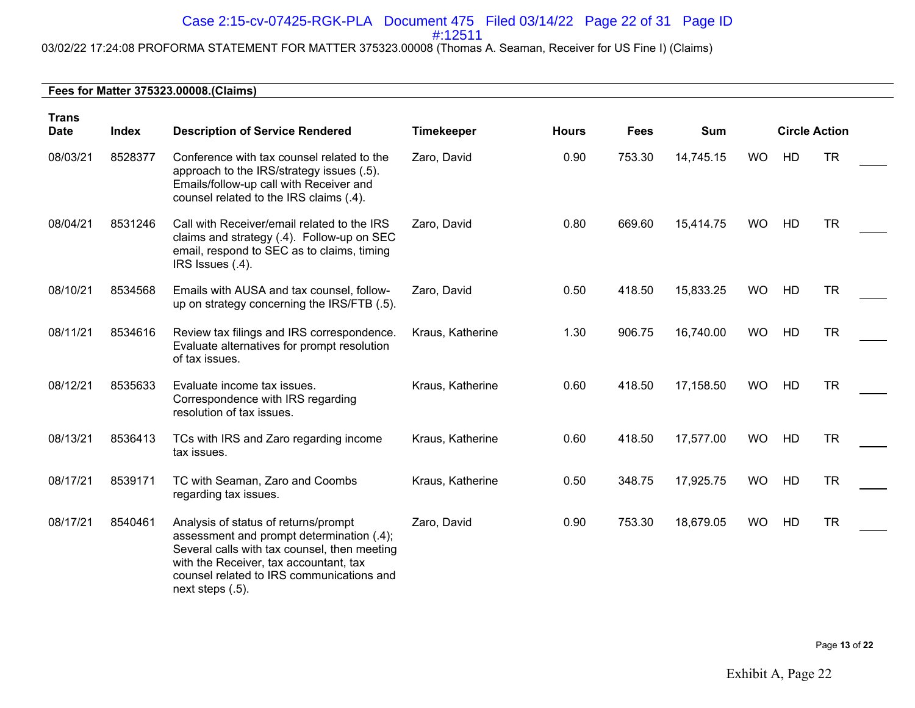# Case 2:15-cv-07425-RGK-PLA Document 475 Filed 03/14/22 Page 22 of 31 Page ID

#:12511

# 03/02/22 17:24:08 PROFORMA STATEMENT FOR MATTER 375323.00008 (Thomas A. Seaman, Receiver for US Fine I) (Claims)

| <b>Trans</b><br><b>Date</b> | <b>Index</b> | <b>Description of Service Rendered</b>                                                                                                                                                                                                       | <b>Timekeeper</b> | <b>Hours</b> | <b>Fees</b> | Sum       | <b>Circle Action</b> |    |           |
|-----------------------------|--------------|----------------------------------------------------------------------------------------------------------------------------------------------------------------------------------------------------------------------------------------------|-------------------|--------------|-------------|-----------|----------------------|----|-----------|
| 08/03/21                    | 8528377      | Conference with tax counsel related to the<br>approach to the IRS/strategy issues (.5).<br>Emails/follow-up call with Receiver and<br>counsel related to the IRS claims (.4).                                                                | Zaro, David       | 0.90         | 753.30      | 14,745.15 | <b>WO</b>            | HD | <b>TR</b> |
| 08/04/21                    | 8531246      | Call with Receiver/email related to the IRS<br>claims and strategy (.4). Follow-up on SEC<br>email, respond to SEC as to claims, timing<br>IRS Issues (.4).                                                                                  | Zaro, David       | 0.80         | 669.60      | 15,414.75 | <b>WO</b>            | HD | <b>TR</b> |
| 08/10/21                    | 8534568      | Emails with AUSA and tax counsel, follow-<br>up on strategy concerning the IRS/FTB (.5).                                                                                                                                                     | Zaro, David       | 0.50         | 418.50      | 15,833.25 | <b>WO</b>            | HD | <b>TR</b> |
| 08/11/21                    | 8534616      | Review tax filings and IRS correspondence.<br>Evaluate alternatives for prompt resolution<br>of tax issues.                                                                                                                                  | Kraus, Katherine  | 1.30         | 906.75      | 16,740.00 | <b>WO</b>            | HD | <b>TR</b> |
| 08/12/21                    | 8535633      | Evaluate income tax issues.<br>Correspondence with IRS regarding<br>resolution of tax issues.                                                                                                                                                | Kraus, Katherine  | 0.60         | 418.50      | 17,158.50 | <b>WO</b>            | HD | <b>TR</b> |
| 08/13/21                    | 8536413      | TCs with IRS and Zaro regarding income<br>tax issues.                                                                                                                                                                                        | Kraus, Katherine  | 0.60         | 418.50      | 17,577.00 | <b>WO</b>            | HD | <b>TR</b> |
| 08/17/21                    | 8539171      | TC with Seaman, Zaro and Coombs<br>regarding tax issues.                                                                                                                                                                                     | Kraus, Katherine  | 0.50         | 348.75      | 17,925.75 | <b>WO</b>            | HD | <b>TR</b> |
| 08/17/21                    | 8540461      | Analysis of status of returns/prompt<br>assessment and prompt determination (.4);<br>Several calls with tax counsel, then meeting<br>with the Receiver, tax accountant, tax<br>counsel related to IRS communications and<br>next steps (.5). | Zaro, David       | 0.90         | 753.30      | 18,679.05 | <b>WO</b>            | HD | <b>TR</b> |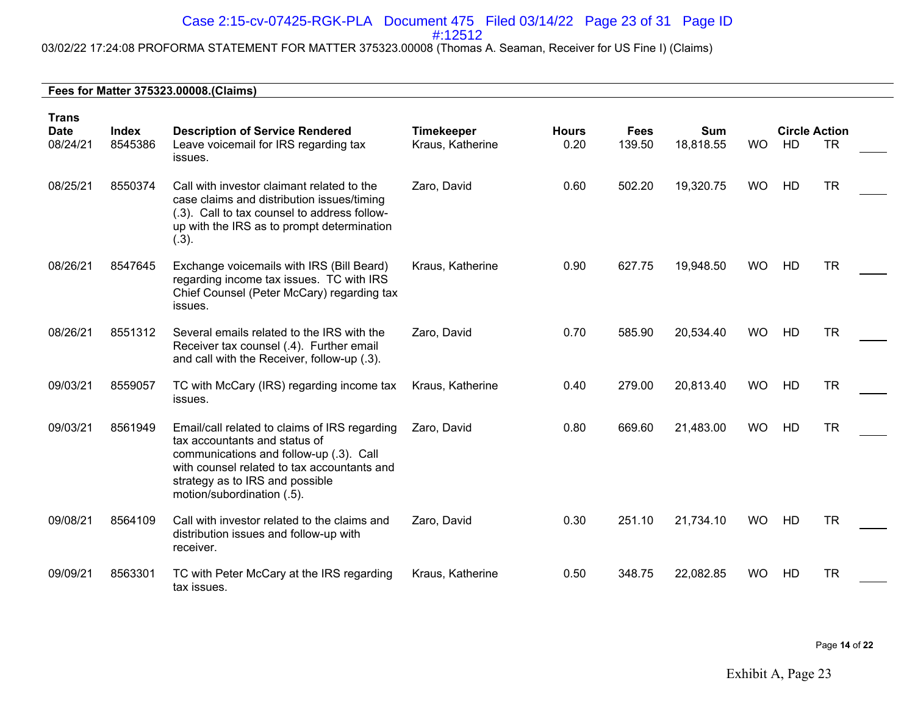#### Case 2:15-cv-07425-RGK-PLA Document 475 Filed 03/14/22 Page 23 of 31 Page ID #:12512

# 03/02/22 17:24:08 PROFORMA STATEMENT FOR MATTER 375323.00008 (Thomas A. Seaman, Receiver for US Fine I) (Claims)

| <b>Trans</b><br><b>Date</b><br>08/24/21 | Index<br>8545386 | <b>Description of Service Rendered</b><br>Leave voicemail for IRS regarding tax<br>issues.                                                                                                                                                | <b>Timekeeper</b><br>Kraus, Katherine | <b>Hours</b><br>0.20 | <b>Fees</b><br>139.50 | <b>Sum</b><br>18,818.55 | <b>WO</b> | <b>Circle Action</b><br>HD | <b>TR</b> |  |
|-----------------------------------------|------------------|-------------------------------------------------------------------------------------------------------------------------------------------------------------------------------------------------------------------------------------------|---------------------------------------|----------------------|-----------------------|-------------------------|-----------|----------------------------|-----------|--|
| 08/25/21                                | 8550374          | Call with investor claimant related to the<br>case claims and distribution issues/timing<br>(.3). Call to tax counsel to address follow-<br>up with the IRS as to prompt determination<br>(.3).                                           | Zaro, David                           | 0.60                 | 502.20                | 19,320.75               | <b>WO</b> | HD                         | <b>TR</b> |  |
| 08/26/21                                | 8547645          | Exchange voicemails with IRS (Bill Beard)<br>regarding income tax issues. TC with IRS<br>Chief Counsel (Peter McCary) regarding tax<br>issues.                                                                                            | Kraus, Katherine                      | 0.90                 | 627.75                | 19,948.50               | <b>WO</b> | HD                         | <b>TR</b> |  |
| 08/26/21                                | 8551312          | Several emails related to the IRS with the<br>Receiver tax counsel (.4). Further email<br>and call with the Receiver, follow-up (.3).                                                                                                     | Zaro, David                           | 0.70                 | 585.90                | 20,534.40               | <b>WO</b> | HD                         | <b>TR</b> |  |
| 09/03/21                                | 8559057          | TC with McCary (IRS) regarding income tax<br>issues.                                                                                                                                                                                      | Kraus, Katherine                      | 0.40                 | 279.00                | 20,813.40               | <b>WO</b> | HD                         | <b>TR</b> |  |
| 09/03/21                                | 8561949          | Email/call related to claims of IRS regarding<br>tax accountants and status of<br>communications and follow-up (.3). Call<br>with counsel related to tax accountants and<br>strategy as to IRS and possible<br>motion/subordination (.5). | Zaro, David                           | 0.80                 | 669.60                | 21,483.00               | <b>WO</b> | HD                         | <b>TR</b> |  |
| 09/08/21                                | 8564109          | Call with investor related to the claims and<br>distribution issues and follow-up with<br>receiver.                                                                                                                                       | Zaro, David                           | 0.30                 | 251.10                | 21,734.10               | <b>WO</b> | HD                         | <b>TR</b> |  |
| 09/09/21                                | 8563301          | TC with Peter McCary at the IRS regarding<br>tax issues.                                                                                                                                                                                  | Kraus, Katherine                      | 0.50                 | 348.75                | 22,082.85               | <b>WO</b> | HD                         | <b>TR</b> |  |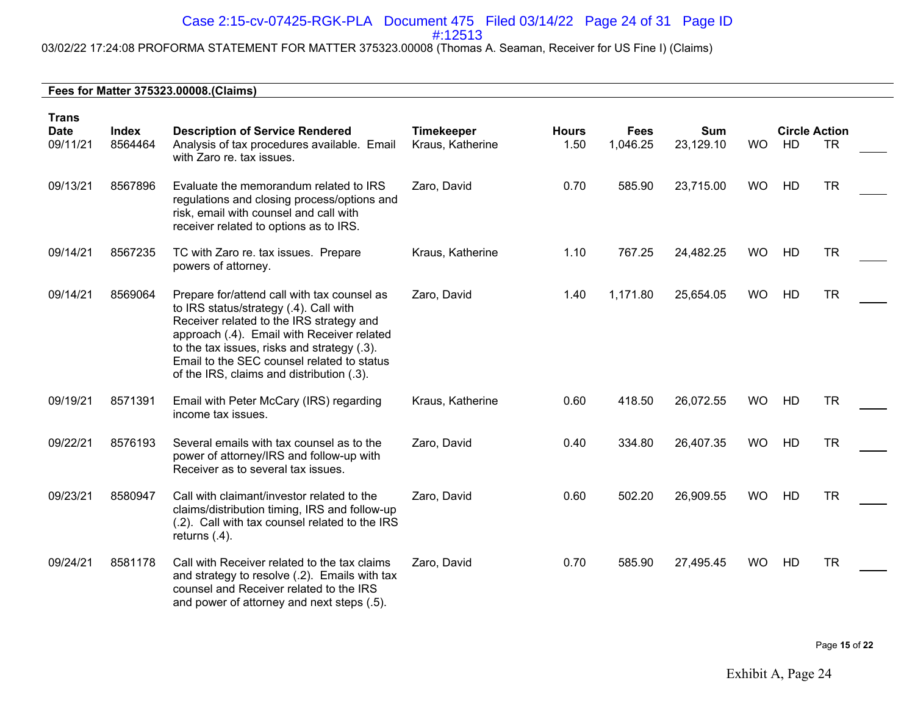# Case 2:15-cv-07425-RGK-PLA Document 475 Filed 03/14/22 Page 24 of 31 Page ID

#:12513

# 03/02/22 17:24:08 PROFORMA STATEMENT FOR MATTER 375323.00008 (Thomas A. Seaman, Receiver for US Fine I) (Claims)

| <b>Trans</b>            |                         |                                                                                                                                                                                                                                                                                                                           |                                       |                      |          | <b>Sum</b><br><b>Fees</b> |           |    | <b>Circle Action</b> |  |  |  |
|-------------------------|-------------------------|---------------------------------------------------------------------------------------------------------------------------------------------------------------------------------------------------------------------------------------------------------------------------------------------------------------------------|---------------------------------------|----------------------|----------|---------------------------|-----------|----|----------------------|--|--|--|
| <b>Date</b><br>09/11/21 | <b>Index</b><br>8564464 | <b>Description of Service Rendered</b><br>Analysis of tax procedures available. Email<br>with Zaro re. tax issues.                                                                                                                                                                                                        | <b>Timekeeper</b><br>Kraus, Katherine | <b>Hours</b><br>1.50 | 1,046.25 | 23,129.10                 | <b>WO</b> | HD | <b>TR</b>            |  |  |  |
| 09/13/21                | 8567896                 | Evaluate the memorandum related to IRS<br>regulations and closing process/options and<br>risk, email with counsel and call with<br>receiver related to options as to IRS.                                                                                                                                                 | Zaro, David                           | 0.70                 | 585.90   | 23,715.00                 | <b>WO</b> | HD | <b>TR</b>            |  |  |  |
| 09/14/21                | 8567235                 | TC with Zaro re. tax issues. Prepare<br>powers of attorney.                                                                                                                                                                                                                                                               | Kraus, Katherine                      | 1.10                 | 767.25   | 24,482.25                 | <b>WO</b> | HD | <b>TR</b>            |  |  |  |
| 09/14/21                | 8569064                 | Prepare for/attend call with tax counsel as<br>to IRS status/strategy (.4). Call with<br>Receiver related to the IRS strategy and<br>approach (.4). Email with Receiver related<br>to the tax issues, risks and strategy (.3).<br>Email to the SEC counsel related to status<br>of the IRS, claims and distribution (.3). | Zaro, David                           | 1.40                 | 1,171.80 | 25,654.05                 | <b>WO</b> | HD | <b>TR</b>            |  |  |  |
| 09/19/21                | 8571391                 | Email with Peter McCary (IRS) regarding<br>income tax issues.                                                                                                                                                                                                                                                             | Kraus, Katherine                      | 0.60                 | 418.50   | 26,072.55                 | <b>WO</b> | HD | <b>TR</b>            |  |  |  |
| 09/22/21                | 8576193                 | Several emails with tax counsel as to the<br>power of attorney/IRS and follow-up with<br>Receiver as to several tax issues.                                                                                                                                                                                               | Zaro, David                           | 0.40                 | 334.80   | 26,407.35                 | <b>WO</b> | HD | <b>TR</b>            |  |  |  |
| 09/23/21                | 8580947                 | Call with claimant/investor related to the<br>claims/distribution timing, IRS and follow-up<br>(.2). Call with tax counsel related to the IRS<br>returns $(.4)$ .                                                                                                                                                         | Zaro, David                           | 0.60                 | 502.20   | 26,909.55                 | <b>WO</b> | HD | <b>TR</b>            |  |  |  |
| 09/24/21                | 8581178                 | Call with Receiver related to the tax claims<br>and strategy to resolve (.2). Emails with tax<br>counsel and Receiver related to the IRS<br>and power of attorney and next steps (.5).                                                                                                                                    | Zaro, David                           | 0.70                 | 585.90   | 27,495.45                 | <b>WO</b> | HD | <b>TR</b>            |  |  |  |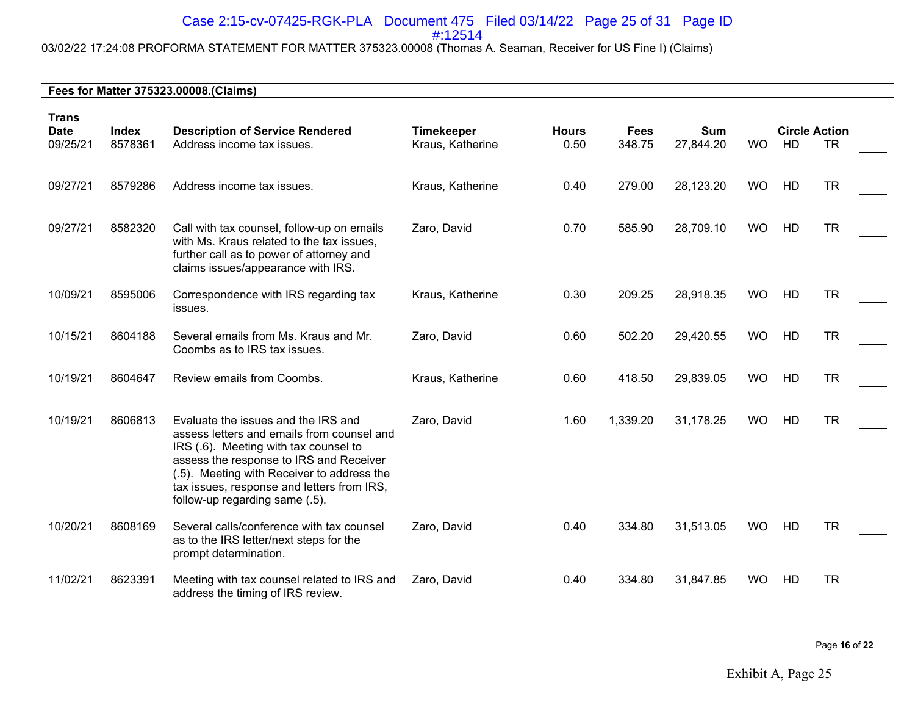# Case 2:15-cv-07425-RGK-PLA Document 475 Filed 03/14/22 Page 25 of 31 Page ID

#:12514

# 03/02/22 17:24:08 PROFORMA STATEMENT FOR MATTER 375323.00008 (Thomas A. Seaman, Receiver for US Fine I) (Claims)

#### **Fees for Matter 375323.00008.(Claims)**

| <b>Trans</b><br><b>Date</b><br>09/25/21 | <b>Index</b><br>8578361 | <b>Description of Service Rendered</b><br>Address income tax issues.                                                                                                                                                                                                                                | <b>Timekeeper</b><br>Kraus, Katherine | <b>Hours</b><br>0.50 | <b>Fees</b><br>348.75 | <b>Sum</b><br>27,844.20 | <b>WO</b> | <b>Circle Action</b><br>HD | <b>TR</b> |  |
|-----------------------------------------|-------------------------|-----------------------------------------------------------------------------------------------------------------------------------------------------------------------------------------------------------------------------------------------------------------------------------------------------|---------------------------------------|----------------------|-----------------------|-------------------------|-----------|----------------------------|-----------|--|
| 09/27/21                                | 8579286                 | Address income tax issues.                                                                                                                                                                                                                                                                          | Kraus, Katherine                      | 0.40                 | 279.00                | 28,123.20               | <b>WO</b> | HD                         | <b>TR</b> |  |
| 09/27/21                                | 8582320                 | Call with tax counsel, follow-up on emails<br>with Ms. Kraus related to the tax issues,<br>further call as to power of attorney and<br>claims issues/appearance with IRS.                                                                                                                           | Zaro, David                           | 0.70                 | 585.90                | 28,709.10               | <b>WO</b> | HD                         | <b>TR</b> |  |
| 10/09/21                                | 8595006                 | Correspondence with IRS regarding tax<br>issues.                                                                                                                                                                                                                                                    | Kraus, Katherine                      | 0.30                 | 209.25                | 28,918.35               | <b>WO</b> | HD                         | <b>TR</b> |  |
| 10/15/21                                | 8604188                 | Several emails from Ms. Kraus and Mr.<br>Coombs as to IRS tax issues.                                                                                                                                                                                                                               | Zaro, David                           | 0.60                 | 502.20                | 29,420.55               | <b>WO</b> | HD                         | <b>TR</b> |  |
| 10/19/21                                | 8604647                 | Review emails from Coombs.                                                                                                                                                                                                                                                                          | Kraus, Katherine                      | 0.60                 | 418.50                | 29,839.05               | <b>WO</b> | HD                         | <b>TR</b> |  |
| 10/19/21                                | 8606813                 | Evaluate the issues and the IRS and<br>assess letters and emails from counsel and<br>IRS (.6). Meeting with tax counsel to<br>assess the response to IRS and Receiver<br>(.5). Meeting with Receiver to address the<br>tax issues, response and letters from IRS,<br>follow-up regarding same (.5). | Zaro, David                           | 1.60                 | 1,339.20              | 31,178.25               | <b>WO</b> | HD                         | <b>TR</b> |  |
| 10/20/21                                | 8608169                 | Several calls/conference with tax counsel<br>as to the IRS letter/next steps for the<br>prompt determination.                                                                                                                                                                                       | Zaro, David                           | 0.40                 | 334.80                | 31,513.05               | <b>WO</b> | HD                         | <b>TR</b> |  |
| 11/02/21                                | 8623391                 | Meeting with tax counsel related to IRS and<br>address the timing of IRS review.                                                                                                                                                                                                                    | Zaro, David                           | 0.40                 | 334.80                | 31,847.85               | <b>WO</b> | HD                         | <b>TR</b> |  |

Page **16** of **22**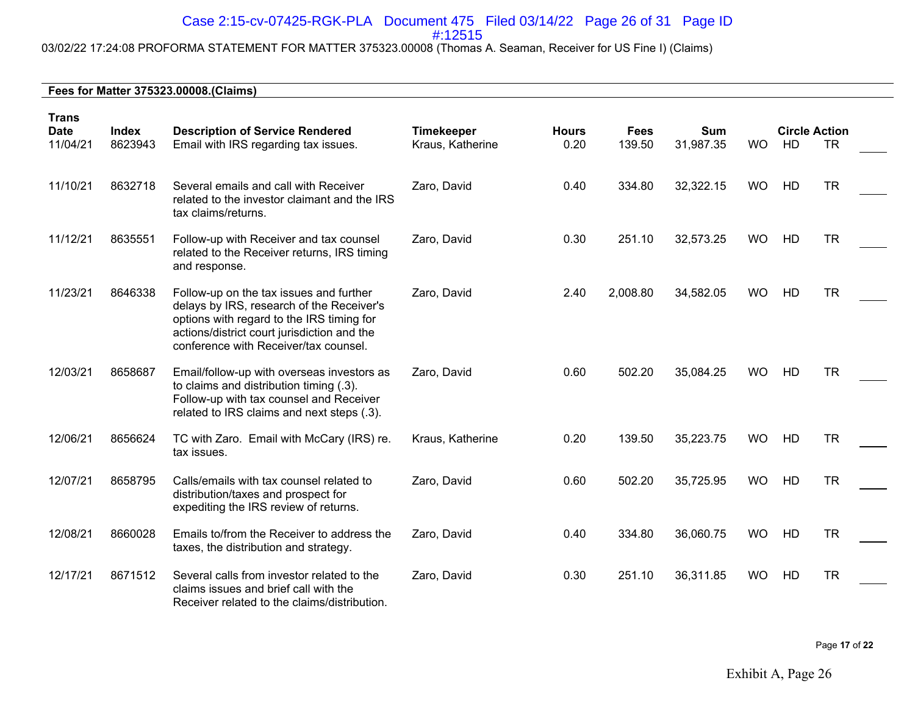# Case 2:15-cv-07425-RGK-PLA Document 475 Filed 03/14/22 Page 26 of 31 Page ID

#:12515

# 03/02/22 17:24:08 PROFORMA STATEMENT FOR MATTER 375323.00008 (Thomas A. Seaman, Receiver for US Fine I) (Claims)

#### **Fees for Matter 375323.00008.(Claims)**

| <b>Trans</b><br><b>Index</b><br><b>Date</b> |         | <b>Description of Service Rendered</b>                                                                                                                                                                                    | <b>Timekeeper</b> | <b>Hours</b> | <b>Fees</b> | Sum       |           | <b>Circle Action</b> |           |  |
|---------------------------------------------|---------|---------------------------------------------------------------------------------------------------------------------------------------------------------------------------------------------------------------------------|-------------------|--------------|-------------|-----------|-----------|----------------------|-----------|--|
| 11/04/21                                    | 8623943 | Email with IRS regarding tax issues.                                                                                                                                                                                      | Kraus, Katherine  | 0.20         | 139.50      | 31,987.35 | <b>WO</b> | HD                   | TR.       |  |
| 11/10/21                                    | 8632718 | Several emails and call with Receiver<br>related to the investor claimant and the IRS<br>tax claims/returns.                                                                                                              | Zaro, David       | 0.40         | 334.80      | 32,322.15 | <b>WO</b> | HD                   | <b>TR</b> |  |
| 11/12/21                                    | 8635551 | Follow-up with Receiver and tax counsel<br>related to the Receiver returns, IRS timing<br>and response.                                                                                                                   | Zaro, David       | 0.30         | 251.10      | 32,573.25 | <b>WO</b> | HD                   | <b>TR</b> |  |
| 11/23/21                                    | 8646338 | Follow-up on the tax issues and further<br>delays by IRS, research of the Receiver's<br>options with regard to the IRS timing for<br>actions/district court jurisdiction and the<br>conference with Receiver/tax counsel. | Zaro, David       | 2.40         | 2,008.80    | 34,582.05 | <b>WO</b> | HD                   | <b>TR</b> |  |
| 12/03/21                                    | 8658687 | Email/follow-up with overseas investors as<br>to claims and distribution timing (.3).<br>Follow-up with tax counsel and Receiver<br>related to IRS claims and next steps (.3).                                            | Zaro, David       | 0.60         | 502.20      | 35,084.25 | <b>WO</b> | HD                   | <b>TR</b> |  |
| 12/06/21                                    | 8656624 | TC with Zaro. Email with McCary (IRS) re.<br>tax issues.                                                                                                                                                                  | Kraus, Katherine  | 0.20         | 139.50      | 35,223.75 | <b>WO</b> | HD                   | <b>TR</b> |  |
| 12/07/21                                    | 8658795 | Calls/emails with tax counsel related to<br>distribution/taxes and prospect for<br>expediting the IRS review of returns.                                                                                                  | Zaro, David       | 0.60         | 502.20      | 35,725.95 | <b>WO</b> | HD                   | <b>TR</b> |  |
| 12/08/21                                    | 8660028 | Emails to/from the Receiver to address the<br>taxes, the distribution and strategy.                                                                                                                                       | Zaro, David       | 0.40         | 334.80      | 36,060.75 | <b>WO</b> | HD                   | <b>TR</b> |  |
| 12/17/21                                    | 8671512 | Several calls from investor related to the<br>claims issues and brief call with the<br>Receiver related to the claims/distribution.                                                                                       | Zaro, David       | 0.30         | 251.10      | 36,311.85 | <b>WO</b> | HD                   | <b>TR</b> |  |

Page **17** of **22**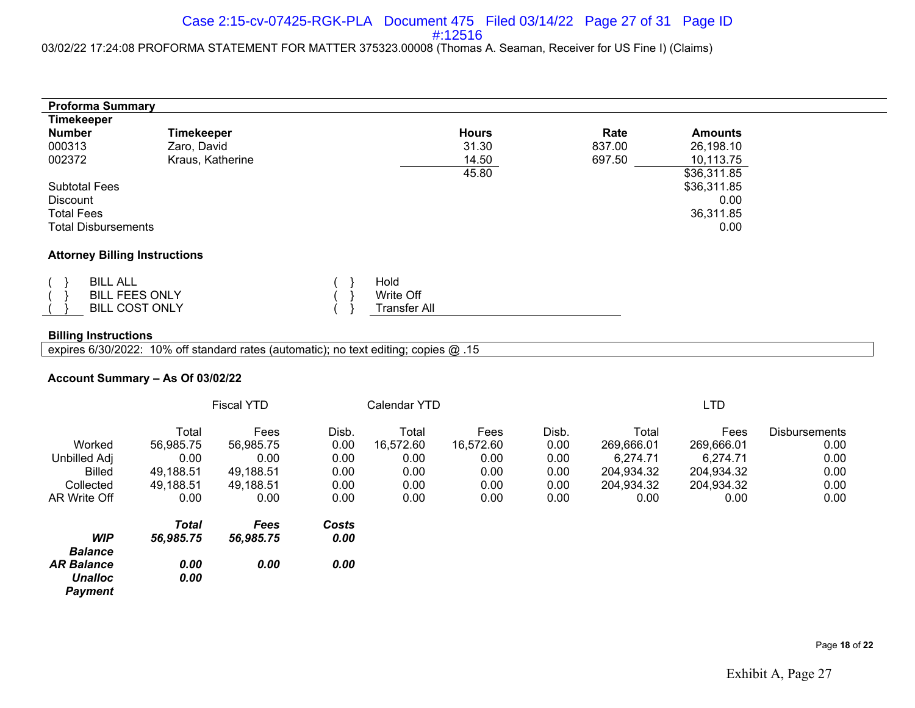#### 03/02/22 17:24:08 PROFORMA STATEMENT FOR MATTER 375323.00008 (Thomas A. Seaman, Receiver for US Fine I) (Claims)

| <b>Proforma Summary</b>              |                                                                   |  |                                          |              |        |                |  |  |  |
|--------------------------------------|-------------------------------------------------------------------|--|------------------------------------------|--------------|--------|----------------|--|--|--|
| <b>Timekeeper</b>                    |                                                                   |  |                                          |              |        |                |  |  |  |
| <b>Number</b>                        | <b>Timekeeper</b>                                                 |  |                                          | <b>Hours</b> | Rate   | <b>Amounts</b> |  |  |  |
| 000313                               | Zaro, David                                                       |  |                                          | 31.30        | 837.00 | 26,198.10      |  |  |  |
| 002372                               | Kraus, Katherine                                                  |  |                                          | 14.50        | 697.50 | 10,113.75      |  |  |  |
|                                      |                                                                   |  |                                          | 45.80        |        | \$36,311.85    |  |  |  |
| <b>Subtotal Fees</b>                 |                                                                   |  |                                          |              |        | \$36,311.85    |  |  |  |
| Discount                             |                                                                   |  | 0.00                                     |              |        |                |  |  |  |
| <b>Total Fees</b>                    |                                                                   |  | 36,311.85                                |              |        |                |  |  |  |
|                                      | <b>Total Disbursements</b>                                        |  |                                          |              |        | 0.00           |  |  |  |
|                                      |                                                                   |  |                                          |              |        |                |  |  |  |
| <b>Attorney Billing Instructions</b> |                                                                   |  |                                          |              |        |                |  |  |  |
|                                      | <b>BILL ALL</b><br><b>BILL FEES ONLY</b><br><b>BILL COST ONLY</b> |  | Hold<br>Write Off<br><b>Transfer All</b> |              |        |                |  |  |  |

#### **Billing Instructions**

expires 6/30/2022: 10% off standard rates (automatic); no text editing; copies @ .15

#### **Account Summary – As Of 03/02/22**

|                   | <b>Fiscal YTD</b> |             |       | Calendar YTD |           |       |            | LTD        |                      |  |
|-------------------|-------------------|-------------|-------|--------------|-----------|-------|------------|------------|----------------------|--|
|                   | Total             | Fees        | Disb. | Total        | Fees      | Disb. | Total      | Fees       | <b>Disbursements</b> |  |
| Worked            | 56,985.75         | 56.985.75   | 0.00  | 16.572.60    | 16,572.60 | 0.00  | 269,666.01 | 269,666.01 | 0.00                 |  |
| Unbilled Adj      | 0.00              | 0.00        | 0.00  | 0.00         | 0.00      | 0.00  | 6,274.71   | 6,274.71   | 0.00                 |  |
| <b>Billed</b>     | 49,188.51         | 49,188.51   | 0.00  | 0.00         | 0.00      | 0.00  | 204,934.32 | 204,934.32 | 0.00                 |  |
| Collected         | 49,188.51         | 49,188.51   | 0.00  | 0.00         | 0.00      | 0.00  | 204,934.32 | 204,934.32 | 0.00                 |  |
| AR Write Off      | 0.00              | 0.00        | 0.00  | 0.00         | 0.00      | 0.00  | 0.00       | 0.00       | 0.00                 |  |
|                   | <b>Total</b>      | <b>Fees</b> | Costs |              |           |       |            |            |                      |  |
| <b>WIP</b>        | 56,985.75         | 56,985.75   | 0.00  |              |           |       |            |            |                      |  |
| <b>Balance</b>    |                   |             |       |              |           |       |            |            |                      |  |
| <b>AR Balance</b> | 0.00              | 0.00        | 0.00  |              |           |       |            |            |                      |  |
| <b>Unalloc</b>    | 0.00              |             |       |              |           |       |            |            |                      |  |
| <b>Payment</b>    |                   |             |       |              |           |       |            |            |                      |  |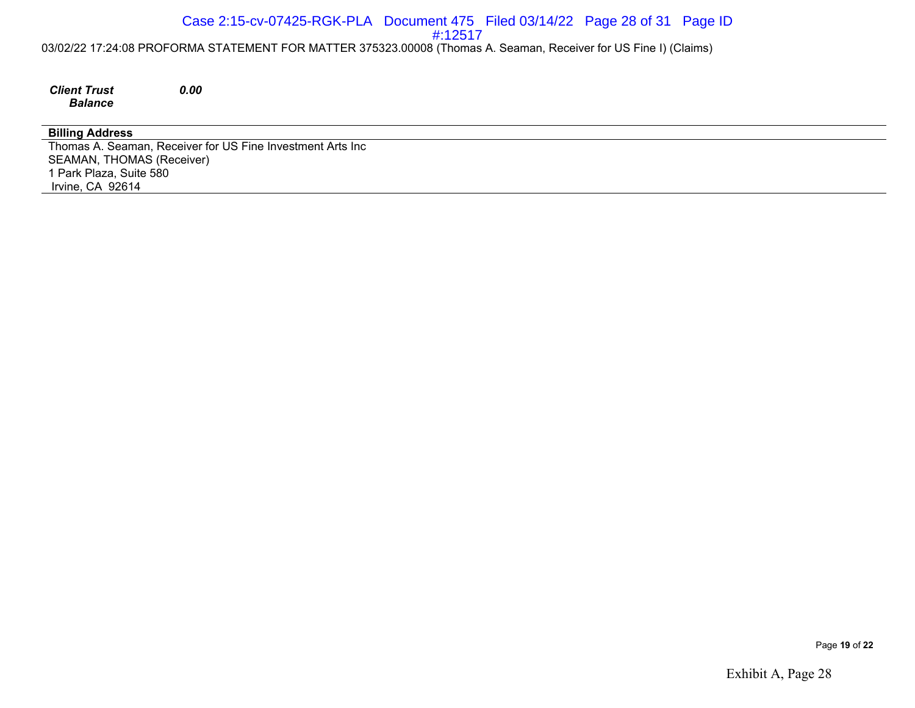#### 03/02/22 17:24:08 PROFORMA STATEMENT FOR MATTER 375323.00008 (Thomas A. Seaman, Receiver for US Fine I) (Claims) Case 2:15-cv-07425-RGK-PLA Document 475 Filed 03/14/22 Page 28 of 31 Page ID #:12517

*Client Trust Balance*

*0.00*

#### **Billing Address**

Thomas A. Seaman, Receiver for US Fine Investment Arts Inc SEAMAN, THOMAS (Receiver) 1 Park Plaza, Suite 580 Irvine, CA 92614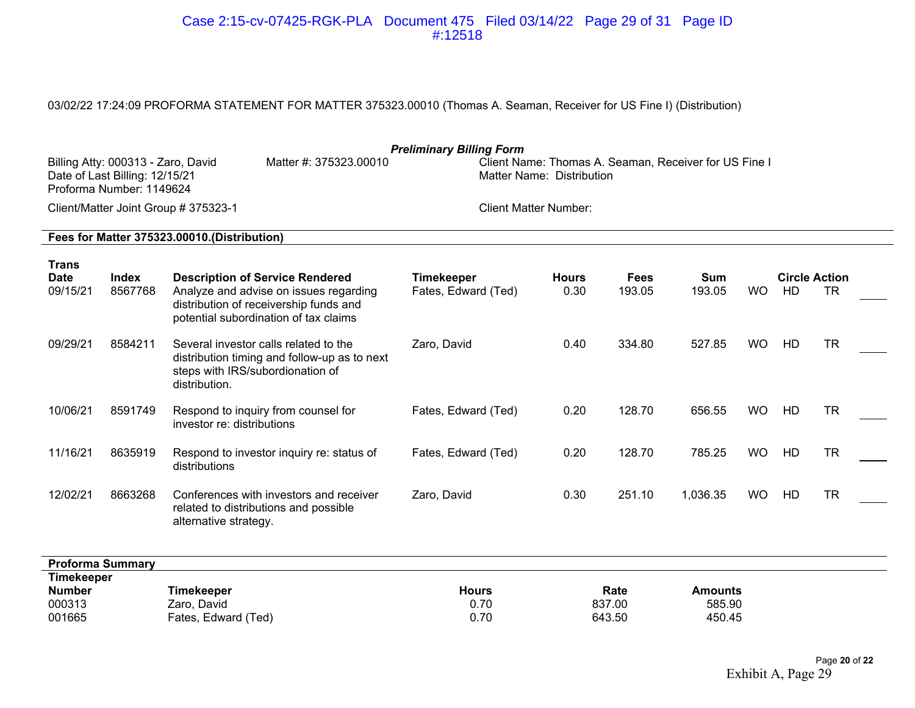#### Case 2:15-cv-07425-RGK-PLA Document 475 Filed 03/14/22 Page 29 of 31 Page ID #:12518

## 03/02/22 17:24:09 PROFORMA STATEMENT FOR MATTER 375323.00010 (Thomas A. Seaman, Receiver for US Fine I) (Distribution)

| <b>Preliminary Billing Form</b><br>Client Name: Thomas A. Seaman, Receiver for US Fine I<br>Billing Atty: 000313 - Zaro, David<br>Matter #: 375323.00010<br>Date of Last Billing: 12/15/21<br>Matter Name: Distribution<br>Proforma Number: 1149624 |                         |                                                                                                                                                                     |                                          |                          |                       |                                    |           |    |                                   |  |
|-----------------------------------------------------------------------------------------------------------------------------------------------------------------------------------------------------------------------------------------------------|-------------------------|---------------------------------------------------------------------------------------------------------------------------------------------------------------------|------------------------------------------|--------------------------|-----------------------|------------------------------------|-----------|----|-----------------------------------|--|
| Client/Matter Joint Group # 375323-1<br><b>Client Matter Number:</b>                                                                                                                                                                                |                         |                                                                                                                                                                     |                                          |                          |                       |                                    |           |    |                                   |  |
| Fees for Matter 375323.00010.(Distribution)                                                                                                                                                                                                         |                         |                                                                                                                                                                     |                                          |                          |                       |                                    |           |    |                                   |  |
| <b>Trans</b><br><b>Date</b><br>09/15/21                                                                                                                                                                                                             | <b>Index</b><br>8567768 | <b>Description of Service Rendered</b><br>Analyze and advise on issues regarding<br>distribution of receivership funds and<br>potential subordination of tax claims | <b>Timekeeper</b><br>Fates, Edward (Ted) | <b>Hours</b><br>0.30     | <b>Fees</b><br>193.05 | Sum<br>193.05                      | <b>WO</b> | HD | <b>Circle Action</b><br><b>TR</b> |  |
| 09/29/21                                                                                                                                                                                                                                            | 8584211                 | Several investor calls related to the<br>distribution timing and follow-up as to next<br>steps with IRS/subordionation of<br>distribution.                          | Zaro, David                              | 0.40                     | 334.80                | 527.85                             | <b>WO</b> | HD | <b>TR</b>                         |  |
| 10/06/21                                                                                                                                                                                                                                            | 8591749                 | Respond to inquiry from counsel for<br>investor re: distributions                                                                                                   | Fates, Edward (Ted)                      | 0.20                     | 128.70                | 656.55                             | <b>WO</b> | HD | <b>TR</b>                         |  |
| 11/16/21                                                                                                                                                                                                                                            | 8635919                 | Respond to investor inquiry re: status of<br>distributions                                                                                                          | Fates, Edward (Ted)                      | 0.20                     | 128.70                | 785.25                             | <b>WO</b> | HD | <b>TR</b>                         |  |
| 12/02/21                                                                                                                                                                                                                                            | 8663268                 | Conferences with investors and receiver<br>related to distributions and possible<br>alternative strategy.                                                           | Zaro, David                              | 0.30                     | 251.10                | 1,036.35                           | <b>WO</b> | HD | <b>TR</b>                         |  |
| <b>Proforma Summary</b>                                                                                                                                                                                                                             |                         |                                                                                                                                                                     |                                          |                          |                       |                                    |           |    |                                   |  |
| <b>Timekeeper</b><br><b>Number</b><br>000313<br>001665                                                                                                                                                                                              |                         | <b>Timekeeper</b><br>Zaro, David<br>Fates, Edward (Ted)                                                                                                             | <b>Hours</b><br>0.70<br>0.70             | Rate<br>837.00<br>643.50 |                       | <b>Amounts</b><br>585.90<br>450.45 |           |    |                                   |  |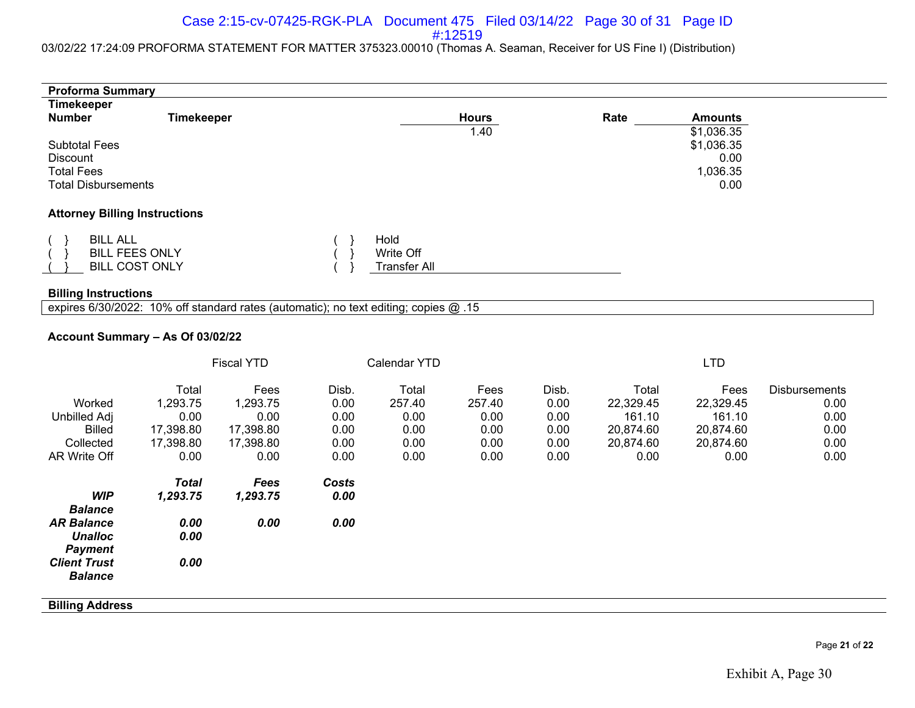#### Case 2:15-cv-07425-RGK-PLA Document 475 Filed 03/14/22 Page 30 of 31 Page ID #:12519

#### 03/02/22 17:24:09 PROFORMA STATEMENT FOR MATTER 375323.00010 (Thomas A. Seaman, Receiver for US Fine I) (Distribution)

| <b>Proforma Summary</b>                                                                    |                                                             |                                                            |                                               |                                                 |                                                |                                               |                                                                |                                                               |                                                              |
|--------------------------------------------------------------------------------------------|-------------------------------------------------------------|------------------------------------------------------------|-----------------------------------------------|-------------------------------------------------|------------------------------------------------|-----------------------------------------------|----------------------------------------------------------------|---------------------------------------------------------------|--------------------------------------------------------------|
| <b>Timekeeper</b><br><b>Number</b>                                                         | <b>Timekeeper</b>                                           |                                                            |                                               |                                                 | <b>Hours</b><br>1.40                           |                                               | Rate                                                           | <b>Amounts</b><br>\$1,036.35                                  |                                                              |
| <b>Subtotal Fees</b><br><b>Discount</b><br><b>Total Fees</b><br><b>Total Disbursements</b> |                                                             |                                                            |                                               |                                                 |                                                |                                               |                                                                | \$1,036.35<br>0.00<br>1,036.35<br>0.00                        |                                                              |
| <b>Attorney Billing Instructions</b>                                                       |                                                             |                                                            |                                               |                                                 |                                                |                                               |                                                                |                                                               |                                                              |
| <b>BILL ALL</b>                                                                            | <b>BILL FEES ONLY</b><br><b>BILL COST ONLY</b>              |                                                            |                                               | Hold<br>Write Off<br><b>Transfer All</b>        |                                                |                                               |                                                                |                                                               |                                                              |
| <b>Billing Instructions</b>                                                                |                                                             |                                                            |                                               |                                                 |                                                |                                               |                                                                |                                                               |                                                              |
| expires 6/30/2022: 10% off standard rates (automatic); no text editing; copies @ .15       |                                                             |                                                            |                                               |                                                 |                                                |                                               |                                                                |                                                               |                                                              |
| Account Summary - As Of 03/02/22                                                           |                                                             |                                                            |                                               |                                                 |                                                |                                               |                                                                |                                                               |                                                              |
|                                                                                            |                                                             | <b>Fiscal YTD</b>                                          |                                               | Calendar YTD                                    |                                                |                                               |                                                                | <b>LTD</b>                                                    |                                                              |
| Worked<br>Unbilled Adj<br><b>Billed</b><br>Collected<br>AR Write Off                       | Total<br>1,293.75<br>0.00<br>17,398.80<br>17,398.80<br>0.00 | Fees<br>1,293.75<br>0.00<br>17,398.80<br>17,398.80<br>0.00 | Disb.<br>0.00<br>0.00<br>0.00<br>0.00<br>0.00 | Total<br>257.40<br>0.00<br>0.00<br>0.00<br>0.00 | Fees<br>257.40<br>0.00<br>0.00<br>0.00<br>0.00 | Disb.<br>0.00<br>0.00<br>0.00<br>0.00<br>0.00 | Total<br>22,329.45<br>161.10<br>20,874.60<br>20,874.60<br>0.00 | Fees<br>22,329.45<br>161.10<br>20,874.60<br>20,874.60<br>0.00 | <b>Disbursements</b><br>0.00<br>0.00<br>0.00<br>0.00<br>0.00 |
| <b>WIP</b><br><b>Balance</b>                                                               | <b>Total</b><br>1,293.75                                    | Fees<br>1,293.75                                           | Costs<br>0.00                                 |                                                 |                                                |                                               |                                                                |                                                               |                                                              |
| <b>AR Balance</b><br><b>Unalloc</b><br><b>Payment</b>                                      | 0.00<br>0.00                                                | 0.00                                                       | 0.00                                          |                                                 |                                                |                                               |                                                                |                                                               |                                                              |
| <b>Client Trust</b><br><b>Balance</b>                                                      | 0.00                                                        |                                                            |                                               |                                                 |                                                |                                               |                                                                |                                                               |                                                              |
| <b>Billing Address</b>                                                                     |                                                             |                                                            |                                               |                                                 |                                                |                                               |                                                                |                                                               |                                                              |